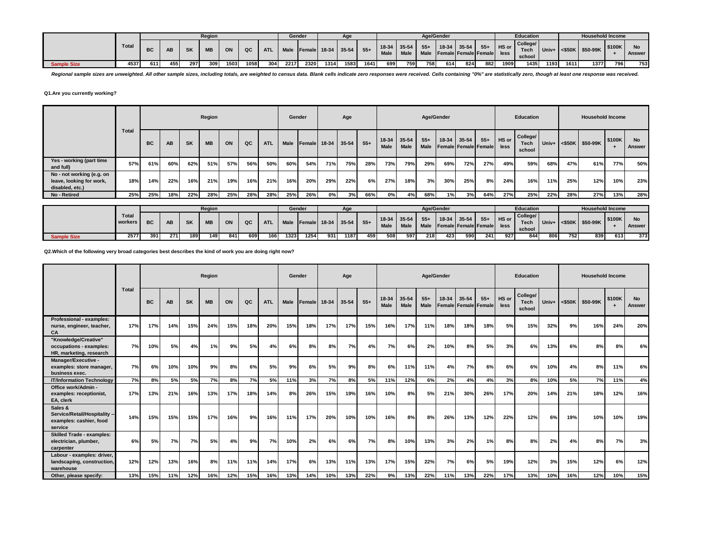|                    |              |     |     |           | <b>Region</b> |      |      |            |      | Gender |      | Age                |       |             |                     |       | Age/Gender |                                                |     |               | <b>Education</b>           |       |      | <b>Household Income</b>            |        |        |
|--------------------|--------------|-----|-----|-----------|---------------|------|------|------------|------|--------|------|--------------------|-------|-------------|---------------------|-------|------------|------------------------------------------------|-----|---------------|----------------------------|-------|------|------------------------------------|--------|--------|
|                    | <b>Total</b> |     | AB  | <b>SK</b> | <b>MB</b>     | ON   | QC   | <b>ATL</b> | Male |        |      | Female 18-34 35-54 | $55+$ | <b>Male</b> | 18-34 35-54<br>Male | $55+$ |            | $18-34$ 35-54 55+<br>Male Female Female Female |     | HS or<br>less | College/<br>Tech<br>school | Univ+ |      | $ \texttt{<$50K} \texttt{$50-99K}$ | \$100K | Answer |
| <b>Sample Size</b> | 4537         | 611 | 455 | 297       | 309           | 1503 | 1058 | 304        | 2217 | 2320   | 1314 | 1583               | 1641  | 699         | 759                 | 758   | 614        | 824                                            | 882 | 1909          | 1435                       | 1193  | 1611 | 1377                               | 796    | 753    |

Regional sample sizes are unweighted. All other sample sizes, including totals, are weighted to census data. Blank cells indicate zero responses were received. Cells containing "0%" are statistically zero, though at least

### **Q1.Are you currently working?**

|                                                                          |       |           |     |           | Region    |     |     |            |             | Gender        |     | Age         |       |                            |             |                      | Age/Gender |                                   |       |               | Education                  |       |     | <b>Household Income</b> |             |                     |
|--------------------------------------------------------------------------|-------|-----------|-----|-----------|-----------|-----|-----|------------|-------------|---------------|-----|-------------|-------|----------------------------|-------------|----------------------|------------|-----------------------------------|-------|---------------|----------------------------|-------|-----|-------------------------|-------------|---------------------|
|                                                                          | Total | <b>BC</b> | AB  | <b>SK</b> | <b>MB</b> | ON  | QC  | <b>ATL</b> | <b>Male</b> | <b>Female</b> |     | 18-34 35-54 | $55+$ | 18-34 35-54<br><b>Male</b> | <b>Male</b> | $55+$<br><b>Male</b> | $18-34$    | $35 - 54$<br>Female Female Female | $55+$ | HS or<br>less | College/<br>Tech<br>school | Univ+ |     | <\$50K \$50-99K         | \$100K<br>- | <b>No</b><br>Answer |
| Yes - working (part time<br>and full)                                    | 57%   | 61%       | 60% | 62%       | 51%       | 57% | 56% | 50%        | 60%         | 54%           | 71% | 75%         | 28%   | 73%                        | 79%         | 29%                  | 69%        | 72%                               | 27%   | 49%           | 59%                        | 68%   | 47% | 61%                     | 77%         | 50%                 |
| No - not working (e.g. on<br>leave, looking for work,<br>disabled, etc.) | 18%   | 14%       | 22% | 16%       | 21%       | 19% | 16% | 21%        | 16%         | 20%           | 29% | 22%         | 6%    | 27%                        | 18%         | 3%                   | 30%        | 25%                               | 8%    | 24%           | 16%                        | 11%   | 25% | 12%                     | 10%         | 23%                 |
| No - Retired                                                             | 25%   | 25%       | 18% | 22%       | 28%       | 25% | 28% | 28%        | 25%         | 26%           | 0%  | 3%          | 66%   | 0%                         | 4%          | 68%                  | 1%         | 3%                                | 64%   | 27%           | 25%                        | 22%   | 28% | 27%                     | 13%         | 28%                 |

|             |                         |           |           |           | Region    |     |     |       |      | Gender                      |     | Age  |     |      |                   |                                  | Age/Gender |             |       |         | <b>Education</b> |     |     | <b>Household Income</b>           |        |        |
|-------------|-------------------------|-----------|-----------|-----------|-----------|-----|-----|-------|------|-----------------------------|-----|------|-----|------|-------------------|----------------------------------|------------|-------------|-------|---------|------------------|-----|-----|-----------------------------------|--------|--------|
|             | <b>Total</b><br>workers | <b>BC</b> |           |           |           |     |     |       |      |                             |     |      |     |      | $18-34$ 35-54 55+ |                                  |            | 18-34 35-54 | $55+$ | HS or I | College/<br>Tech |     |     |                                   | \$100K |        |
|             |                         |           | <b>AB</b> | <b>SK</b> | <b>MB</b> | ON  | QC  | ATL I |      | Male Female 18-34 35-54 55+ |     |      |     | Male | Male              | I Male Female Female Female less |            |             |       |         | school           |     |     | $ $ Univ+ $ $ <\$50K $ $ \$50-99K |        | Answer |
| Sample Size | 2577                    | 3911      | 271       | 189       | 149       | 841 | 609 | 1661  | 1323 | 1254                        | 931 | 1187 | 459 | 508  | 597               | <b>218</b>                       | 423        | 590         | 241   | 927     | 844              | 806 | 752 | 839                               | 613    | 373    |

**Q2.Which of the following very broad categories best describes the kind of work you are doing right now?**

|                                                                                |              |           |     |           | Region    |     |     |            | Gender |        |       | Age   |       |               |               | Age/Gender    |       |       |                                   |               | <b>Education</b>                  |       |     | <b>Household Income</b> |                     |                     |
|--------------------------------------------------------------------------------|--------------|-----------|-----|-----------|-----------|-----|-----|------------|--------|--------|-------|-------|-------|---------------|---------------|---------------|-------|-------|-----------------------------------|---------------|-----------------------------------|-------|-----|-------------------------|---------------------|---------------------|
|                                                                                | <b>Total</b> | <b>BC</b> | AB  | <b>SK</b> | <b>MB</b> | ON  | QC  | <b>ATL</b> | Male   | Female | 18-34 | 35-54 | $55+$ | 18-34<br>Male | 35-54<br>Male | $55+$<br>Male | 18-34 | 35-54 | $55+$<br>Female   Female   Female | HS or<br>less | College/<br><b>Tech</b><br>school | Univ+ |     | <\$50K \$50-99K         | \$100K<br>$\ddot{}$ | <b>No</b><br>Answer |
| Professional - examples:<br>nurse, engineer, teacher,<br>CA                    | 17%          | 17%       | 14% | 15%       | 24%       | 15% | 18% | 20%        | 15%    | 18%    | 17%   | 17%   | 15%   | 16%           | 17%           | 11%           | 18%   | 18%   | 18%                               | 5%            | 15%                               | 32%   | 9%  | 16%                     | 24%                 | 20%                 |
| "Knowledge/Creative"<br>occupations - examples:<br>HR, marketing, research     | 7%           | 10%       | 5%  | 4%        | 1%        | 9%  | 5%  | 4%         | 6%     | 8%     | 8%    | 7%    | 4%    | 7%            | 6%            | 2%            | 10%   | 8%    | 5%                                | 3%            | 6%                                | 13%   | 6%  | 8%                      | 8%                  | 6%                  |
| Manager/Executive -<br>examples: store manager,<br>business exec.              | 7%           | 6%        | 10% | 10%       | 9%        | 8%  | 6%  | 5%         | 9%     | 6%     | 5%    | 9%    | 8%    | 6%            | 11%           | 11%           | 4%    | 7%    | 6%                                | 6%            | 6%                                | 10%   | 4%  | 8%                      | 11%                 | 6%                  |
| <b>IT/Information Technology</b>                                               | 7%           | 8%        | 5%  | 5%        | 7%        | 8%  | 7%  | 5%         | 11%    | 3%     | 7%    | 8%    | 5%    | 11%           | 12%           | 6%            | 2%    | 4%    | 4%                                | 3%            | 8%                                | 10%   | 5%  | 7%                      | 11%                 | 4%                  |
| Office work/Admin -<br>examples: receptionist,<br>EA, clerk                    | 17%          | 13%       | 21% | 16%       | 13%       | 17% | 18% | 14%        | 8%     | 26%    | 15%   | 19%   | 16%   | 10%           | 8%            | 5%            | 21%   | 30%   | 26%                               | 17%           | 20%                               | 14%   | 21% | 18%                     | 12%                 | 16%                 |
| Sales &<br>Service/Retail/Hospitality --<br>examples: cashier, food<br>service | 14%          | 15%       | 15% | 15%       | 17%       | 16% | 9%  | 16%        | 11%    | 17%    | 20%   | 10%   | 10%   | 16%           | 8%            | 8%            | 26%   | 13%   | 12%                               | 22%           | 12%                               | 6%    | 19% | 10%                     | 10%                 | 19%                 |
| <b>Skilled Trade - examples:</b><br>electrician, plumber,<br>carpenter         | 6%           | 5%        | 7%  | 7%        | 5%        | 4%  | 9%  | 7%         | 10%    | 2%     | 6%    | 6%    | 7%    | 8%            | 10%           | 13%           | 3%    | 2%    | 1%                                | 8%            | 8%                                | 2%    | 4%  | 8%                      | 7%                  | 3%                  |
| Labour - examples: driver,<br>landscaping, construction,<br>warehouse          | 12%          | 12%       | 13% | 16%       | 8%        | 11% | 11% | 14%        | 17%    | 6%     | 13%   | 11%   | 13%   | 17%           | 15%           | 22%           | 7%    | 6%    | 5%                                | 19%           | 12%                               | 3%    | 15% | 12%                     | 6%                  | 12%                 |
| Other, please specify:                                                         | 13%          | 15%       | 11% | 12%       | 16%       | 12% | 15% | 16%        | 13%    | 14%    | 10%   | 13%   | 22%   | 9%            | 13%           | 22%           | 11%   | 13%   | 22%                               | 17%           | 13%                               | 10%   | 16% | 12%                     | 10%                 | 15%                 |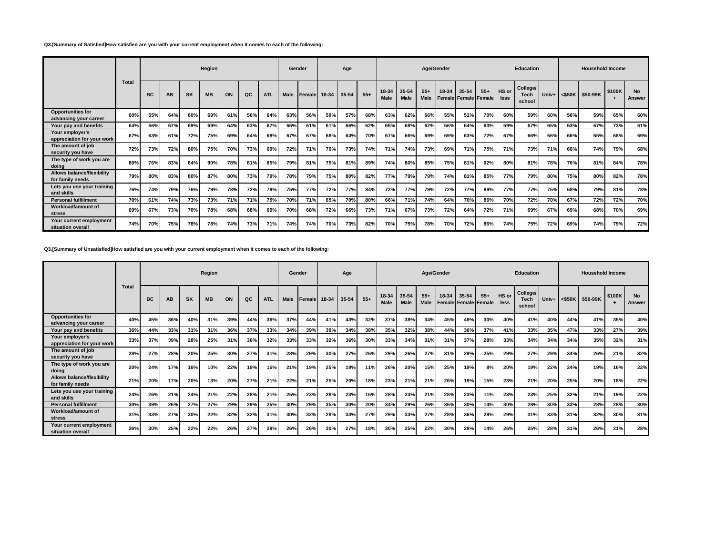#### **Q3.[Summary of Satisfied]How satisfied are you with your current employment when it comes to each of the following:**

|                                                   |              |           |           |           | Region    |     |     |            | Gender      |                 |       | Age   |       |                      |               |                      | Age/Gender      |       |                               |               | <b>Education</b>                  |       |     | <b>Household Income</b> |        |                     |
|---------------------------------------------------|--------------|-----------|-----------|-----------|-----------|-----|-----|------------|-------------|-----------------|-------|-------|-------|----------------------|---------------|----------------------|-----------------|-------|-------------------------------|---------------|-----------------------------------|-------|-----|-------------------------|--------|---------------------|
|                                                   | <b>Total</b> | <b>BC</b> | <b>AB</b> | <b>SK</b> | <b>MB</b> | ON  | QC  | <b>ATL</b> | <b>Male</b> | <b>I</b> Female | 18-34 | 35-54 | $55+$ | 18-34<br><b>Male</b> | 35-54<br>Male | $55+$<br><b>Male</b> | 18-34<br>Female | 35-54 | $55+$<br><b>Female Female</b> | HS or<br>less | College/<br><b>Tech</b><br>school | Univ+ |     | <\$50K \$50-99K         | \$100K | <b>No</b><br>Answer |
| <b>Opportunities for</b><br>advancing your career | 60%          | 55%       | 64%       | 60%       | 69%       | 61% | 56% | 64%        | 63%         | 56%             | 59%   | 57%   | 68%   | 63%                  | 62%           | 66%                  | 55%             | 51%   | 70%                           | 60%           | 59%                               | 60%   | 56% | 59%                     | 65%    | 60%                 |
| Your pay and benefits                             | 64%          | 56%       | 67%       | 69%       | 69%       | 64% | 63% | 67%        | 66%         | 61%             | 61%   | 66%   | 62%   | 65%                  | 68%           | 62%                  | 56%             | 64%   | 63%                           | 59%           | 67%                               | 65%   | 53% | 67%                     | 73%    | 61%                 |
| Your employer's<br>appreciation for your work     | 67%          | 63%       | 61%       | 72%       | 75%       | 69% | 64% | 68%        | 67%         | 67%             | 68%   | 64%   | 70%   | 67%                  | 66%           | 69%                  | 69%             | 63%   | 72%                           | 67%           | 66%                               | 66%   | 66% | 65%                     | 68%    | 69%                 |
| The amount of job<br>security you have            | 72%          | 73%       | 72%       | 80%       | 75%       | 70% | 73% | 69%        | 72%         | 71%             | 70%   | 73%   | 74%   | 71%                  | 74%           | 73%                  | 69%             | 71%   | 75%                           | 71%           | 73%                               | 71%   | 66% | 74%                     | 79%    | 68%                 |
| The type of work you are<br>doing                 | 80%          | 76%       | 83%       | 84%       | 90%       | 78% | 81% | 85%        | 79%         | 81%             | 75%   | 81%   | 89%   | 74%                  | 80%           | 85%                  | 75%             | 81%   | 92%                           | 80%           | 81%                               | 78%   | 76% | 81%                     | 84%    | 78%                 |
| Allows balance/flexibility<br>for family needs    | 79%          | 80%       | 83%       | 80%       | 87%       | 80% | 73% | 79%        | 78%         | 79%             | 75%   | 80%   | 82%   | 77%                  | 79%           | 79%                  | 74%             | 81%   | 85%                           | 77%           | 79%                               | 80%   | 75% | 80%                     | 82%    | 78%                 |
| Lets you use your training<br>and skills          | 76%          | 74%       | 79%       | 76%       | 79%       | 78% | 72% | 79%        | 75%         | 77%             | 72%   | 77%   | 84%   | 72%                  | 77%           | 79%                  | 72%             | 77%   | 89%                           | 77%           | 77%                               | 75%   | 68% | 79%                     | 81%    | <b>78%</b>          |
| <b>Personal fulfillment</b>                       | 70%          | 61%       | 74%       | 73%       | 73%       | 71% | 71% | 75%        | 70%         | 71%             | 65%   | 70%   | 80%   | 66%                  | 71%           | 74%                  | 64%             | 70%   | 86%                           | 70%           | 72%                               | 70%   | 67% | 72%                     | 72%    | 70%                 |
| Workload/amount of<br>stress                      | 69%          | 67%       | 73%       | 70%       | 78%       | 68% | 68% | 69%        | 70%         | 68%             | 72%   | 66%   | 73%   | 71%                  | 67%           | 73%                  | 72%             | 64%   | 72%                           | 71%           | 69%                               | 67%   | 69% | 68%                     | 70%    | 69%                 |
| Your current employment<br>situation overall      | 74%          | 70%       | 75%       | 78%       | 78%       | 74% | 73% | 71%        | 74%         | 74%             | 70%   | 73%   | 82%   | 70%                  | 75%           | 78%                  | 70%             | 72%   | 86%                           | 74%           | 75%                               | 72%   | 69% | 74%                     | 79%    | 72%                 |

### **Q3.[Summary of Unsatisfied]How satisfied are you with your current employment when it comes to each of the following:**

|                                                   |       |           |           |           | Region    |     |     |            |      | Gender       |     | Age       |       |                      |                      | Age/Gender           |                 |           |                               |               | <b>Education</b>                  |       |           | <b>Household Income</b> |        |                     |
|---------------------------------------------------|-------|-----------|-----------|-----------|-----------|-----|-----|------------|------|--------------|-----|-----------|-------|----------------------|----------------------|----------------------|-----------------|-----------|-------------------------------|---------------|-----------------------------------|-------|-----------|-------------------------|--------|---------------------|
|                                                   | Total | <b>BC</b> | <b>AB</b> | <b>SK</b> | <b>MB</b> | ON  | QC  | <b>ATL</b> | Male | Female 18-34 |     | $35 - 54$ | $55+$ | 18-34<br><b>Male</b> | 35-54<br><b>Male</b> | $55+$<br><b>Male</b> | 18-34<br>Female | $35 - 54$ | $55+$<br><b>Female Female</b> | HS or<br>less | College/<br><b>Tech</b><br>school | Univ+ | $<$ \$50K | \$50-99K                | \$100K | <b>No</b><br>Answer |
| <b>Opportunities for</b><br>advancing your career | 40%   | 45%       | 36%       | 40%       | 31%       | 39% | 44% | 36%        | 37%  | 44%          | 41% | 43%       | 32%   | 37%                  | 38%                  | 34%                  | 45%             | 49%       | 30%                           | 40%           | 41%                               | 40%   | 44%       | 41%                     | 35%    | 40%                 |
| Your pay and benefits                             | 36%   | 44%       | 33%       | 31%       | 31%       | 36% | 37% | 33%        | 34%  | 39%          | 39% | 34%       | 38%   | 35%                  | 32%                  | 38%                  | 44%             | 36%       | 37%                           | 41%           | 33%                               | 35%   | 47%       | 33%                     | 27%    | 39%                 |
| Your employer's<br>appreciation for your work     | 33%   | 37%       | 39%       | 28%       | 25%       | 31% | 36% | 32%        | 33%  | 33%          | 32% | 36%       | 30%   | 33%                  | 34%                  | 31%                  | 31%             | 37%       | 28%                           | 33%           | 34%                               | 34%   | 34%       | 35%                     | 32%    | 31%                 |
| The amount of job<br>security you have            | 28%   | 27%       | 28%       | 20%       | 25%       | 30% | 27% | 31%        | 28%  | 29%          | 30% | 27%       | 26%   | 29%                  | 26%                  | 27%                  | 31%             | 29%       | 25%                           | 29%           | 27%                               | 29%   | 34%       | 26%                     | 21%    | 32%                 |
| The type of work you are<br>doing                 | 20%   | 24%       | 17%       | 16%       | 10%       | 22% | 19% | 15%        | 21%  | 19%          | 25% | 19%       | 11%   | 26%                  | 20%                  | 15%                  | 25%             | 19%       | 8%                            | 20%           | 19%                               | 22%   | 24%       | 19%                     | 16%    | 22%                 |
| Allows balance/flexibility<br>for family needs    | 21%   | 20%       | 17%       | 20%       | 13%       | 20% | 27% | 21%        | 22%  | 21%          | 25% | 20%       | 18%   | 23%                  | 21%                  | 21%                  | 26%             | 19%       | 15%                           | 23%           | 21%                               | 20%   | 25%       | 20%                     | 18%    | 22%                 |
| Lets you use your training<br>and skills          | 24%   | 26%       | 21%       | 24%       | 21%       | 22% | 28% | 21%        | 25%  | 23%          | 28% | 23%       | 16%   | 28%                  | 23%                  | 21%                  | 28%             | 23%       | 11%                           | 23%           | 23%                               | 25%   | 32%       | 21%                     | 19%    | 22%                 |
| <b>Personal fulfillment</b>                       | 30%   | 39%       | 26%       | 27%       | 27%       | 29% | 29% | 25%        | 30%  | 29%          | 35% | 30%       | 20%   | 34%                  | 29%                  | 26%                  | 36%             | 30%       | 14%                           | 30%           | 28%                               | 30%   | 33%       | 28%                     | 28%    | 30%                 |
| Workload/amount of<br>stress                      | 31%   | 33%       | 27%       | 30%       | 22%       | 32% | 32% | 31%        | 30%  | 32%          | 28% | 34%       | 27%   | 29%                  | 33%                  | 27%                  | 28%             | 36%       | 28%                           | 29%           | 31%                               | 33%   | 31%       | 32%                     | 30%    | 31%                 |
| Your current employment<br>situation overall      | 26%   | 30%       | 25%       | 22%       | 22%       | 26% | 27% | 29%        | 26%  | 26%          | 30% | 27%       | 18%   | 30%                  | 25%                  | 22%                  | 30%             | 28%       | 14%                           | 26%           | 25%                               | 28%   | 31%       | 26%                     | 21%    | 28%                 |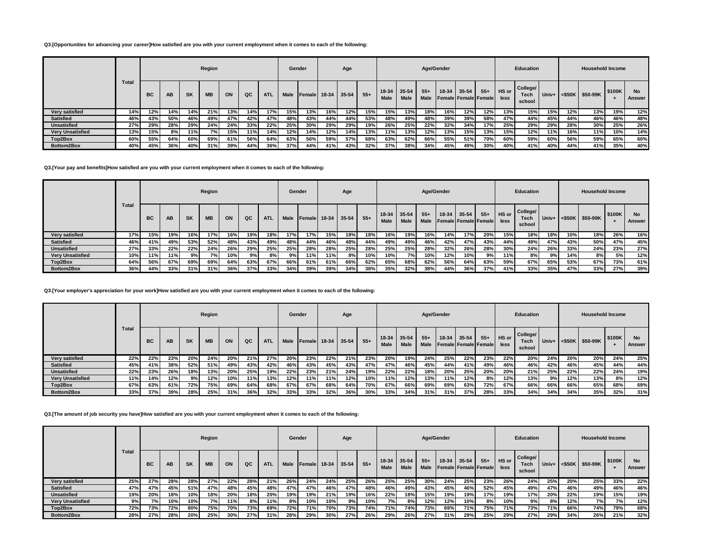#### **Q3.[Opportunities for advancing your career]How satisfied are you with your current employment when it comes to each of the following:**

|                         |       |           |     |     | Region    |     |     |            | Gender      |               |       | Age       |       |                 |                          | Age/Gender    |       |                                          |       |               | <b>Education</b>                  |       |                   | <b>Household Income</b> |        |                     |
|-------------------------|-------|-----------|-----|-----|-----------|-----|-----|------------|-------------|---------------|-------|-----------|-------|-----------------|--------------------------|---------------|-------|------------------------------------------|-------|---------------|-----------------------------------|-------|-------------------|-------------------------|--------|---------------------|
|                         | Total | <b>BC</b> | AB  | SK  | <b>MB</b> | ON  | QC  | <b>ATL</b> | <b>Male</b> | <b>Female</b> | 18-34 | $35 - 54$ | $55+$ | $18-34$<br>Male | $35 - 54$<br><b>Male</b> | $55+$<br>Male | 18-34 | $35 - 54$<br><b>Female Female Female</b> | $55+$ | HS or<br>less | College/<br><b>Tech</b><br>school | Univ+ | $<$ \$50K $\vert$ | \$50-99K                | \$100K | <b>No</b><br>Answer |
| Verv satisfied          | 14%   | 12%       | 14% | 14% | 21%       | 13% | 14% | 17%        | 15%         | 13%           | 16%   | 12%       | 15%   | 15%             | 13%                      | 18%           | 16%   | 12%                                      | 12%   | 13%           | 15%                               | 15%   | 12%               | 13%                     | 19%    | 12%                 |
| <b>Satisfied</b>        | 46%   | 43%       | 50% | 46% | 49%       | 47% | 42% | 47%        | 48%         | 43%           | 44%   | 44%       | 53%   | 48%             | 49%                      | 48%           | 39%   | 39%                                      | 58%   | 47%           | 44%                               | 45%   | 44%               | 46%                     | 46%    | 48%                 |
| <b>Unsatisfied</b>      | 27%   | 29%       | 28% | 29% | 24%       | 24% | 33% | 22%        | 25%         | 30%           | 29%   | 29%       | 19%   | 26%             | 25%                      | 22%           | 32%   | 34%                                      | 17%   | 25%           | 29%                               | 29%   | 28%               | 30%                     | 25%    | 26%                 |
| <b>Verv Unsatisfied</b> | 13%   | 15%       | 8%  | 11% | 7%        | 15% | 11% | 14%        | 12%         | 14%           | 12%   | 14%       | 13%   | 11%             | 13%                      | 12%           | 13%   | 15%                                      | 13%   | 15%           | 12%                               | 11%   | 16%               | 11%                     | 10%    | 14%                 |
| Top2Box                 | 60%   | 55%       | 64% | 60% | 69%       | 61% | 56% | 64%        | 63%         | 56%           | 59%   | 57%       | 68%   | 63%             | 62%                      | 66%           | 55%   | 51%                                      | 70%l  | 60%           | 59%                               | 60%   | 56%               | 59%                     | 65%    | 60%                 |
| Bottom2Box              | 40%   | 45%       | 36% | 40% | 31%       | 39% | 44% | 36%        | 37%         | 44%           | 41%   | 43%       | 32%   | 37%             | 38%                      | 34%           | 45%   | 49%                                      | 30%   | 40%           | 41%                               | 40%   | 44%               | 41%                     | 35%    | 40%                 |

#### **Q3.[Your pay and benefits]How satisfied are you with your current employment when it comes to each of the following:**

|                         |              |           |     |           | Region    |     |     |            | Gender |                |             | Age |       |                            |             |                      | Age/Gender |       |                               |               | Education                         |       |     | <b>Household Income</b> |        |               |
|-------------------------|--------------|-----------|-----|-----------|-----------|-----|-----|------------|--------|----------------|-------------|-----|-------|----------------------------|-------------|----------------------|------------|-------|-------------------------------|---------------|-----------------------------------|-------|-----|-------------------------|--------|---------------|
|                         | <b>Total</b> | <b>BC</b> | AB  | <b>SK</b> | <b>MB</b> | ON  | QC  | <b>ATL</b> | Male   | <b>IFemale</b> | 18-34 35-54 |     | $55+$ | 18-34 35-54<br><b>Male</b> | <b>Male</b> | $55+$<br><b>Male</b> | 18-34      | 35-54 | $55+$<br>Female Female Female | HS or<br>less | College/<br><b>Tech</b><br>school | Univ+ |     | $\leq$ \$50K \$50-99K   | \$100K | No.<br>Answer |
| Verv satisfied          | 17%          | 15%       | 19% | 16%       | 17%       | 16% | 19% | 18%        | 17%    | 17%            | 15%         | 18% | 18%   | 16%                        | 19%         | 16%                  | 14%        | 17%   | 20%                           | 15%           | 18%                               | 18%   | 10% | 18%                     | 26%    | 16%           |
| <b>Satisfied</b>        | 46%          | 41%       | 49% | 53%       | 52%       | 48% | 43% | 49%        | 48%    | 44%            | 46%         | 48% | 44%   | 49%                        | 49%         | 46%                  | 42%        | 47%   | 43%                           | 44%           | 49%                               | 47%   | 43% | 50%                     | 47%    | 45%           |
| <b>Unsatisfied</b>      | 27%          | 33%       | 22% | 22%       | 24%       | 26% | 29% | 25%        | 25%    | 28%            | 28%         | 25% | 28%   | 25%                        | 25%         | 28%                  | 32%        | 26%   | 28%                           | 30%           | 24%                               | 26%   | 33% | 24%                     | 23%    | 27%           |
| <b>Very Unsatisfied</b> | 10%          | 11%       | 11% | 9%        | 7%        | 10% | 9%  | 8%         | 9%     | 11%            | 11%         | 8%  | 10%   | 10%                        | 7%          | <b>10%</b>           | 12%        | 10%   | 9%                            | 11%           | 8%                                | 9%    | 14% | 8%                      | 5%     | 12%           |
| Top2Box                 | 64%          | 56%       | 67% | 69%       | 69%       | 64% | 63% | 67%        | 66%    | 61%            | 61%         | 66% | 62%   | 65%                        | 68%         | 62%                  | 56%        | 64%   | 63%                           | 59%           | 67%                               | 65%   | 53% | 67%                     | 73%    | 61%           |
| Bottom2Box              | 36%          | 44%       | 33% | 31%       | 31%       | 36% | 37% | 33%        | 34%    | 39%            | 39%         | 34% | 38%   | 35%                        | 32%         | 38%                  | 44%        | 36%   | 37%                           | 41%           | 33%                               | 35%   | 47% | 33%                     | 27%    | 39%           |

# **Q3.[Your employer's appreciation for your work]How satisfied are you with your current employment when it comes to each of the following:**

|                         |       |     |     |           | Region    |     |     |            |             | Gender          |         | Age       |       |                 |                      |               | Age/Gender |         |                                            |               | <b>Education</b>                  |       |           | <b>Household Income</b> |        |                     |
|-------------------------|-------|-----|-----|-----------|-----------|-----|-----|------------|-------------|-----------------|---------|-----------|-------|-----------------|----------------------|---------------|------------|---------|--------------------------------------------|---------------|-----------------------------------|-------|-----------|-------------------------|--------|---------------------|
|                         | Total | BC  | AB  | <b>SK</b> | <b>MB</b> | ON  | QC  | <b>ATL</b> | <b>Male</b> | <b>I</b> Female | $18-34$ | $35 - 54$ | $55+$ | $18-34$<br>Male | 35-54<br><b>Male</b> | $55+$<br>Male | $18-34$    | $35-54$ | $55+$<br><b>Female   Female   Female  </b> | HS or<br>less | College/<br><b>Tech</b><br>school | Univ+ | $<$ \$50K | \$50-99K                | \$100K | <b>No</b><br>Answer |
| Very satisfied          | 22%   | 22% | 23% | 20%       | 24%       | 20% | 21% | 27%        | 20%         | 23%             | 22%     | 21%       | 23%   | 20%             | 19%                  | 24%           | 25%        | 22%     | 23%                                        | 22%           | 20%                               | 24%   | 20%       | 20%                     | 24%    | 25%                 |
| <b>Satisfied</b>        | 45%   | 41% | 38% | 52%       | 51%       | 49% | 43% | 42%        | 46%         | 43%             | 45%     | 43%       | 47%   | 47%             | 46%                  | 45%           | 44%        | 41%     | 49%                                        | 46%           | 46%                               | 42%   | 46%       | 45%                     | 44%    | 44%                 |
| <b>Unsatisfied</b>      | 22%   | 23% | 26% | 18%       | 13%       | 20% | 25% | 19%        | 22%         | 23%             | 21%     | 24%       | 19%   | 22%             | 22%                  | 18%           | 20%        | 25%     | 20%                                        | 20%           | 21%                               | 25%   | 22%       | 22%                     | 24%    | 19%                 |
| <b>Verv Unsatisfied</b> | 11%   | 14% | 12% | 9%        | 12%       | 10% | 11% | 13%        | 12%         | 11%             | 11%     | 12%       | 10%   | 11%             | 12%                  | 13%           | 11%        | 12%     | 8%                                         | 12%           | 13%                               | 9%    | 12%       | 13%                     | 8%     | 12%                 |
| Top2Box                 | 67%   | 63% | 61% | 72%       | 75%       | 69% | 64% | 68%        | 67%         | 67%             | 68%     | 64%       | 70%   | 67%             | 66%                  | 69%           | 69%        | 63%     | 72%                                        | 67%           | 66%                               | 66%   | 66%       | 65%                     | 68%    | 69%                 |
| Bottom2Box              | 33%   | 37% | 39% | 28%       | 25%       | 31% | 36% | 32%        | 33%         | 33%             | 32%     | 36%       | 30%   | 33%             | 34%                  | 31%           | 31%        | 37%     | 28%                                        | 33%           | 34%                               | 34%   | 34%       | 35%                     | 32%    | 31%                 |

### **Q3.[The amount of job security you have]How satisfied are you with your current employment when it comes to each of the following:**

|                         |              |           |     |           | Region    |     |     |            | Gender |                |               | Age |       |                            |             |               | Age/Gender |           |                                      |               | <b>Education</b>           |       |              | <b>Household Income</b> |        |                     |
|-------------------------|--------------|-----------|-----|-----------|-----------|-----|-----|------------|--------|----------------|---------------|-----|-------|----------------------------|-------------|---------------|------------|-----------|--------------------------------------|---------------|----------------------------|-------|--------------|-------------------------|--------|---------------------|
|                         | <b>Total</b> | <b>BC</b> | AB  | <b>SK</b> | <b>MB</b> | ON  | QC  | <b>ATL</b> | Male   | <b>IFemale</b> | $18-34$ 35-54 |     | $55+$ | 18-34 35-54<br><b>Male</b> | <b>Male</b> | $55+$<br>Male | $18-34$    | $35 - 54$ | $55+$<br><b>Female Female Female</b> | HS or<br>less | College/<br>Tech<br>school | Univ+ | $\leq$ \$50K | \$50-99K                | \$100K | <b>No</b><br>Answer |
| Verv satisfied          | 25%          | 27%       | 28% | 28%       | 27%       | 22% | 28% | 21%        | 26%    | 24%            | 24%           | 25% | 26%   | 25%                        | 25%         | 30%           | 24%        | 25%       | 23%                                  | 26%           | 24%                        | 25%   | 20%          | 25%                     | 33%    | 22%                 |
| <b>Satisfied</b>        | 47%          | 47%       | 45% | 51%       | 47%       | 48% | 45% | 48%        | 47%    | 47%            | 46%           | 47% | 48%   | 46%                        | 49%         | 43%           | 45%        | 46%       | 52%                                  | 45%           | 49%                        | 47%   | 46%          | 49%                     | 46%    | 46%                 |
| <b>Unsatisfied</b>      | 19%          | 20%       | 18% | 10%       | 18%       | 20% | 18% | 20%        | 19%    | 19%            | 21%           | 19% | 16%   | 22%                        | 18%         | 15%           | 19%        | 19%       | 17%                                  | 19%           | 17%                        | 20%   | 22%          | 19%                     | 15%    | 19%                 |
| <b>Very Unsatisfied</b> | 9%           | 7%        | 10% | 10%       | 7%        | 11% | 8%  | 11%        | 8%     | 10%            | 10%           | 9%  | 10%   | 7%                         | 8%          | 12%           | 12%        | 10%       | 8%                                   | 10%           | 9%                         | 8%    | 12%          | <b>7%</b>               | 7%     | 12%                 |
| Top2Box                 | 72%          | 73%       | 72% | 80%       | 75%       | 70% | 73% | 69%        | 72%    | 71%            | 70%           | 73% | 74%   | 71%                        | 74%         | 73%           | 69%        | 71%       | 75%                                  | 71%           | 73%                        | 71%   | 66%          | 74%                     | 79%    | 68%                 |
| Bottom2Box              | 28%          | 27%       | 28% | 20%       | 25%       | 30% | 27% | 31%        | 28%    | 29%            | 30%           | 27% | 26%   | 29%                        | 26%         | 27%           | 31%        | 29%       | 25%                                  | 29%           | 27%                        | 29%   | 34%          | 26%                     | 21%    | 32%                 |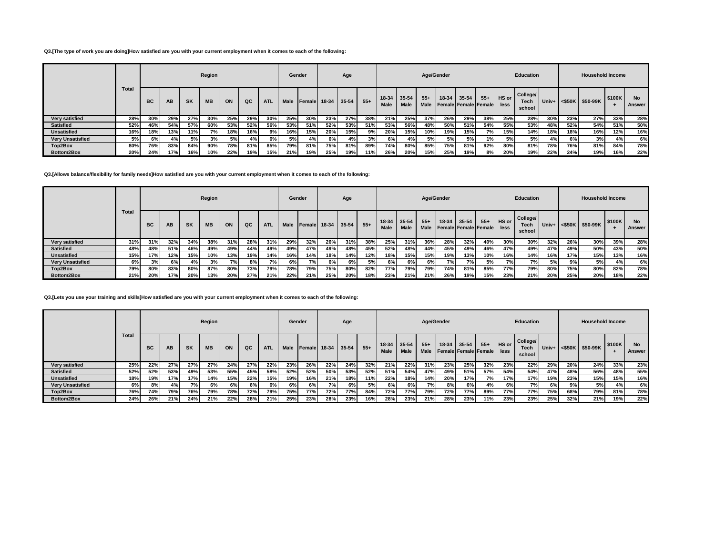#### **Q3.[The type of work you are doing]How satisfied are you with your current employment when it comes to each of the following:**

|                         |       |           |     |           | Region    |     |     |            |             | Gender        |       | Age       |       |                            |             |               | Age/Gender |                                          |       |               | <b>Education</b>                  |       |     | <b>Household Income</b> |        |                     |
|-------------------------|-------|-----------|-----|-----------|-----------|-----|-----|------------|-------------|---------------|-------|-----------|-------|----------------------------|-------------|---------------|------------|------------------------------------------|-------|---------------|-----------------------------------|-------|-----|-------------------------|--------|---------------------|
|                         | Total | <b>BC</b> | AB  | <b>SK</b> | <b>MB</b> | ON  | QC  | <b>ATL</b> | <b>Male</b> | <b>Female</b> | 18-34 | $35 - 54$ | $55+$ | 18-34 35-54<br><b>Male</b> | <b>Male</b> | $55+$<br>Male | $18-34$    | $35 - 54$<br><b>Female Female Female</b> | $55+$ | HS or<br>less | College/<br><b>Tech</b><br>school | Univ+ |     | $<$ \$50K \$50-99K      | \$100K | <b>No</b><br>Answer |
| Very satisfied          | 28%   | 30%       | 29% | 27%       | 30%       | 25% | 29% | 30%        | 25%         | 30%           | 23%   | 27%       | 38%   | 21%                        | 25%         | 37%           | 26%        | 29%                                      | 38%   | 25%           | 28%                               | 30%   | 23% | 27%                     | 33%    | 28%                 |
| <b>Satisfied</b>        | 52%   | 46%       | 54% | 57%       | 60%       | 53% | 52% | 56%        | 53%         | 51%           | 52%   | 53%       | 51%   | 53%                        | 56%         | 48%           | 50%        | 51%                                      | 54%   | 55%           | 53%                               | 48%   | 52% | 54%                     | 51%    | 50%                 |
| <b>Unsatisfied</b>      | 16%   | 18%       | 13% | 11%       | 7% l      | 18% | 16% | 9%         | 16%         | 15%           | 20%   | 15%       | 9%    | 20%                        | 15%         | 10%           | 19%        | 15%                                      | 7% l  | 15%           | 14%                               | 18%   | 18% | 16%                     | 12%    | 16%                 |
| <b>Very Unsatisfied</b> | 5%    | 6%        | 4%  | 5%        | 3%        | 5%  | 4%  | 6%         | 5% l        | 4%            | 6%    | 4%        | 3%    | 6% l                       | 4%          | 5%            | 5%         | 5%                                       | 1%    | 5%            | 5%                                | 4%    | 6%  | 3%                      | 4%     | 6%                  |
| Top2Box                 | 80%   | 76%       | 83% | 84%       | 90%       | 78% | 81% | 85%        | 79%         | 81%           | 75%   | 81%       | 89%   | 74%                        | 80%         | 85%           | 75%        | 81%                                      | 92%   | 80%           | 81%                               | 78%   | 76% | 81%                     | 84%    | 78%                 |
| Bottom2Box              | 20%   | 24%       | 17% | 16%       | 10%       | 22% | 19% | 15%        | 21%         | 19%           | 25%   | 19%       | 11%   | 26%                        | 20%         | 15%           | 25%        | 19%                                      | 8%    | 20%           | 19%                               | 22%   | 24% | 19%                     | 16%    | 22%                 |

### **Q3.[Allows balance/flexibility for family needs]How satisfied are you with your current employment when it comes to each of the following:**

|                         |              |     |           |           | Region    |     |     |            | Gender |        |             | Age |       |                     |             |               | Age/Gender |           |                                            |      | Education                  |       |              | <b>Household Income</b> |        |                     |
|-------------------------|--------------|-----|-----------|-----------|-----------|-----|-----|------------|--------|--------|-------------|-----|-------|---------------------|-------------|---------------|------------|-----------|--------------------------------------------|------|----------------------------|-------|--------------|-------------------------|--------|---------------------|
|                         | <b>Total</b> | BC  | <b>AB</b> | <b>SK</b> | <b>MB</b> | ON  | QC  | <b>ATL</b> | Male   | Female | 18-34 35-54 |     | $55+$ | 18-34 35-54<br>Male | <b>Male</b> | $55+$<br>Male | $18-34$    | $35 - 54$ | $55+$ HS or<br><b>Female Female Female</b> | less | College/<br>Tech<br>school | Univ+ | $\leq$ \$50K | S50-99K                 | \$100K | <b>No</b><br>Answer |
| Very satisfied          | 31%          | 31% | 32%       | 34%       | 38%       | 31% | 28% | 31%        | 29%    | 32%    | 26%         | 31% | 38%   | 25%                 | 31%         | 36%           | 28%        | 32%       | 40%                                        | 30%  | 30%                        | 32%   | 26%          | 30%                     | 39%    | 28%                 |
| <b>Satisfied</b>        | 48%          | 48% | 51%       | 46%       | 49%       | 49% | 44% | 49%        | 49%    | 47%    | 49%         | 48% | 45%   | 52%                 | 48%         | 44%           | 45%        | 49%       | 46%                                        | 47%  | 49%                        | 47%   | 49%          | 50%                     | 43%    | 50%                 |
| <b>Unsatisfied</b>      | 15%          | 17% | 12%       | 15%       | 10%       | 13% | 19% | 14%        | 16%    | 14%    | 18%         | 14% | 12%   | 18%                 | 15%         | 15%           | 19%        | 13%       | 10%                                        | 16%  | 14%                        | 16%   | 17%          | 15%                     | 13%    | 16%                 |
| <b>Very Unsatisfied</b> | 6%           | 3%  | 6%        | 4%        | 3%        | 7%  | 8%  | 7%         | 6%     | 7%     | 6%          | 6%  | 5%    | 6%                  | 6%          | 6%            | 7% l       | 7%        | 5%                                         | 7% l | 7% I                       | 5%    | 9%           | 5%                      | 4%     | 6%                  |
| Top2Box                 | 79%          | 80% | 83%       | 80%       | 87%       | 80% | 73% | 79%        | 78%    | 79%    | 75%         | 80% | 82%   | 77%                 | 79%         | 79%           | 74%        | 81%       | 85%                                        | 77%  | 79%                        | 80%   | 75%          | 80%                     | 82%    | 78%                 |
| Bottom2Box              | 21%          | 20% | 17%       | 20%       | 13%       | 20% | 27% | 21%        | 22%    | 21%    | 25%         | 20% | 18%   | 23%                 | 21%         | 21%           | 26%        | 19%       | 15%                                        | 23%  | 21%                        | 20%   | 25%          | 20%                     | 18%    | 22%                 |

## **Q3.[Lets you use your training and skills]How satisfied are you with your current employment when it comes to each of the following:**

|                         |              |           |           |           | Region    |     |     |            |      | Gender         |               | Age |       |                            |             |                      | Age/Gender |           |                                      |               | Education                  |       |           | <b>Household Income</b> |        |                     |
|-------------------------|--------------|-----------|-----------|-----------|-----------|-----|-----|------------|------|----------------|---------------|-----|-------|----------------------------|-------------|----------------------|------------|-----------|--------------------------------------|---------------|----------------------------|-------|-----------|-------------------------|--------|---------------------|
|                         | <b>Total</b> | <b>BC</b> | <b>AB</b> | <b>SK</b> | <b>MB</b> | ON  | QC  | <b>ATL</b> | Male | <b>IFemale</b> | $18-34$ 35-54 |     | $55+$ | 18-34 35-54<br><b>Male</b> | <b>Male</b> | $55+$<br><b>Male</b> | 18-34      | $35 - 54$ | $55+$<br><b>Female Female Female</b> | HS or<br>less | College/<br>Tech<br>school | Univ+ | $<$ \$50K | \$50-99K                | \$100K | <b>No</b><br>Answer |
| Very satisfied          | 25%          | 22%       | 27%       | 27%       | 27%       | 24% | 27% | 22%        | 23%  | 26%            | 22%           | 24% | 32%   | 21%                        | 22%         | 31%                  | 23%        | 25%       | 32%                                  | 23%           | 22%                        | 29%   | 20%       | 24%                     | 33%    | 23%                 |
| <b>Satisfied</b>        | 52%          | 52%       | 53%       | 49%       | 53%       | 55% | 45% | 58%        | 52%  | 52%            | 50%           | 53% | 52%   | 51%                        | 54%         | 47%                  | 49%        | 51%       | 57%                                  | 54%           | 54%                        | 47%   | 48%       | 56%                     | 48%    | 55%                 |
| <b>Unsatisfied</b>      | 18%          | 19%       | 17%       | 17%       | 14%       | 15% | 22% | 15%        | 19%  | 16%            | 21%           | 18% | 11%   | 22%                        | 18%         | 14%                  | 20%        | 17%       | 7%                                   | 17%           | 17%                        | 19%   | 23%       | 15%                     | 15%    | 16%                 |
| <b>Very Unsatisfied</b> | 6%           | 8%        | 4%        | <b>7%</b> | 6%        | 6%  | 6%  | 6%         | 6%   | 6%             | 7%            | 6%  | 5%    | 6%                         | 6%          | 7%                   | 8%         | 6%        | 4%                                   | 6%            | 7%                         | 6%    | 9%        | 5%                      | 4%     | 6%                  |
| Top2Box                 | 76%          | 74%       | 79%       | 76%       | 79%       | 78% | 72% | 79%        | 75%  | 77%            | 72%           | 77% | 84%   | 72%                        | 77%         | 79%                  | 72%        | 77%       | 89%                                  | 77%           | 77%                        | 75%   | 68%       | 79%                     | 81%    | 78%                 |
| Bottom2Box              | 24%          | 26%       | 21%       | 24%       | 21%       | 22% | 28% | 21%        | 25%  | 23%            | 28%           | 23% | 16%   | 28%                        | 23%         | 21%                  | 28%        | 23%       | 11%                                  | 23%           | 23%                        | 25%   | 32%       | 21%                     | 19%    | 22%                 |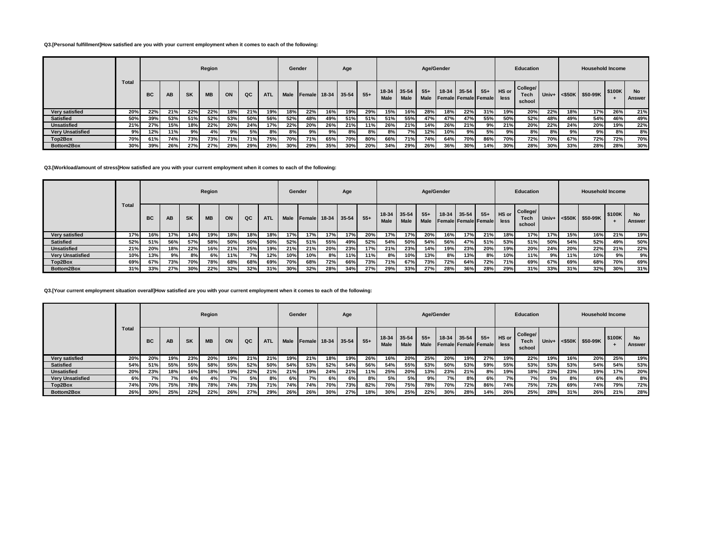#### **Q3.[Personal fulfillment]How satisfied are you with your current employment when it comes to each of the following:**

|                         |       |           |           |           | Region    |            |     |            | Gender      |                 |       | Age       |       |                            |      |                      | Age/Gender |           |                               |               | <b>Education</b>                  |       |     | <b>Household Income</b> |        |                     |
|-------------------------|-------|-----------|-----------|-----------|-----------|------------|-----|------------|-------------|-----------------|-------|-----------|-------|----------------------------|------|----------------------|------------|-----------|-------------------------------|---------------|-----------------------------------|-------|-----|-------------------------|--------|---------------------|
|                         | Total | <b>BC</b> | <b>AB</b> | <b>SK</b> | <b>MB</b> | ON         | QC  | <b>ATL</b> | <b>Male</b> | <b>I</b> Female | 18-34 | $35 - 54$ | $55+$ | 18-34 35-54<br><b>Male</b> | Male | $55+$<br><b>Male</b> | 18-34      | $35 - 54$ | $55+$<br>Female Female Female | HS or<br>less | College/<br><b>Tech</b><br>school | Univ+ |     | $<$ \$50K \$50-99K      | \$100K | <b>No</b><br>Answer |
| Very satisfied          | 20%   | 22%       | 21%       | 22%       | 22%       | <b>18%</b> | 21% | 19%        | 18%         | 22%             | 16%   | 19%       | 29%   | 15%                        | 16%  | 28%                  | 18%        | 22%       | 31%                           | 19%           | 20%                               | 22%   | 18% | 17%                     | 26%    | 21%                 |
| <b>Satisfied</b>        | 50%   | 39%       | 53%       | 51%       | 52%       | 53%        | 50% | 56%        | 52%         | 48%             | 49%   | 51%       | 51%   | 51%                        | 55%  | 47%                  | 47%        | 47%       | 55%                           | 50%           | 52%                               | 48%   | 49% | 54%                     | 46%    | 49%                 |
| <b>Unsatisfied</b>      | 21%   | 27%       | 15%       | 18%       | 22%       | 20%        | 24% | 17%        | 22%         | 20%             | 26%   | 21%       | 11%   | 26%                        | 21%  | 14%                  | 26%        | 21%       | 9%                            | 21%           | 20%                               | 22%   | 24% | 20%                     | 19%    | 22%                 |
| <b>Very Unsatisfied</b> | 9%    | 12%       | 11%       | 9%        | 4%        | 9%         | 5%  | 8%         | 8%          | 9%              | 9%    | 8%        | 8%    | 8%                         | 7%   | 12%                  | 10%        | 9%        | 5%                            | 9%            | 8%                                | 8%    | 9%  | 9%                      | 8%     | 8%                  |
| Top2Box                 | 70%   | 61%       | 74%       | 73%       | 73%       | 71%        | 71% | 75%        | 70%         | 71%             | 65%   | 70%       | 80%   | 66%                        | 71%  | 74%                  | 64%        | 70%       | 86%                           | 70%           | 72%                               | 70%   | 67% | 72%                     | 72%    | 70%                 |
| Bottom2Box              | 30%   | 39%       | 26%       | 27%       | 27%       | 29%        | 29% | 25%        | 30%         | 29%             | 35%   | 30%       | 20%   | 34%                        | 29%  | 26%                  | 36%        | 30%       | 14%                           | 30%           | 28%                               | 30%   | 33% | 28%                     | 28%    | 30%                 |

#### **Q3.[Workload/amount of stress]How satisfied are you with your current employment when it comes to each of the following:**

|                         |              |           |     |           | Region    |     |     |            | Gender |        |             | Age |       |                            |             |                      | Age/Gender |       |                               |               | Education                         |       |     | <b>Household Income</b>    |        |               |
|-------------------------|--------------|-----------|-----|-----------|-----------|-----|-----|------------|--------|--------|-------------|-----|-------|----------------------------|-------------|----------------------|------------|-------|-------------------------------|---------------|-----------------------------------|-------|-----|----------------------------|--------|---------------|
|                         | <b>Total</b> | <b>BC</b> | AB  | <b>SK</b> | <b>MB</b> | ON  | QC  | <b>ATL</b> | Male   | Female | 18-34 35-54 |     | $55+$ | 18-34 35-54<br><b>Male</b> | <b>Male</b> | $55+$<br><b>Male</b> | 18-34      | 35-54 | $55+$<br>Female Female Female | HS or<br>less | College/<br><b>Tech</b><br>school | Univ+ |     | $ \texttt{<$50K} \$50-99K$ | \$100K | No.<br>Answer |
| Verv satisfied          | 17%          | 16%       | 17% | 14%       | 19%       | 18% | 18% | 18%        | 17%    | 17%    | 17%         | 17% | 20%   | 17%                        | 17%         | 20%                  | 16%        | 17%   | 21%                           | 18%           | 17%                               | 17%   | 15% | 16%                        | 21%    | 19%           |
| <b>Satisfied</b>        | 52%          | 51%       | 56% | 57%       | 58%       | 50% | 50% | 50%        | 52%    | 51%    | 55%         | 49% | 52%   | 54%                        | 50%         | 54%                  | 56%        | 47%   | 51%                           | 53%           | 51%                               | 50%   | 54% | 52%                        | 49%    | 50%           |
| <b>Unsatisfied</b>      | 21%          | 20%       | 18% | 22%       | 16%       | 21% | 25% | 19%        | 21%    | 21%    | 20%         | 23% | 17%   | 21%                        | 23%         | 14%                  | 19%        | 23%   | 20%                           | 19%           | 20%                               | 24%   | 20% | 22%                        | 21%    | 22%           |
| <b>Very Unsatisfied</b> | 10%          | 13%       | 9%  | 8%        | 6%        | 11% | 7%  | 12%        | 10%    | 10%    | 8%          | 11% | 11%   | 8%                         | 10%         | 13%                  | 8%         | 13%   | 8%                            | 10%           | 11%                               | 9%    | 11% | 10%                        | 9%     | 9%            |
| Top2Box                 | 69%          | 67%       | 73% | 70%       | 78%       | 68% | 68% | 69%        | 70%    | 68%    | 72%         | 66% | 73%   | 71%                        | 67%         | 73%                  | 72%        | 64%   | 72%                           | 71%           | 69%                               | 67%   | 69% | 68%                        | 70%    | 69%           |
| Bottom2Box              | 31%          | 33%       | 27% | 30%       | 22%       | 32% | 32% | 31%        | 30%    | 32%    | 28%         | 34% | 27%   | 29%                        | 33%         | 27%                  | 28%        | 36%   | 28%                           | 29%           | 31%                               | 33%   | 31% | 32%                        | 30%    | 31%           |

### **Q3.[Your current employment situation overall]How satisfied are you with your current employment when it comes to each of the following:**

|                         |       |           |            |     | Region    |     |     |            |             | Gender        |       | Age       |       |                 |                      |                       | Age/Gender |             |                                   |               | <b>Education</b>           |       |        | <b>Household Income</b> |        |                     |
|-------------------------|-------|-----------|------------|-----|-----------|-----|-----|------------|-------------|---------------|-------|-----------|-------|-----------------|----------------------|-----------------------|------------|-------------|-----------------------------------|---------------|----------------------------|-------|--------|-------------------------|--------|---------------------|
|                         | Total | <b>BC</b> | AB         | SK  | <b>MB</b> | ON  | QC  | <b>ATL</b> | <b>Male</b> | <b>Female</b> | 18-34 | $35 - 54$ | $55+$ | $18-34$<br>Male | 35-54<br><b>Male</b> | $55 +$<br><b>Male</b> |            | 18-34 35-54 | $55+$<br>Female   Female   Female | HS or<br>less | College/<br>Tech<br>school | Univ+ | <\$50K | \$50-99K                | \$100K | <b>No</b><br>Answer |
| Very satisfied          | 20%   | 20%       | 19%        | 23% | 20%       | 19% | 21% | 21%        | 19%         | 21%           | 18%   | 19%       | 26%   | 16%             | 20%                  | 25%                   | 20%        | 19%         | 27%                               | 19%           | 22%                        | 19%   | 16%    | 20%                     | 25%    | 19%                 |
| <b>Satisfied</b>        | 54%   | 51%       | 55%        | 55% | 58%       | 55% | 52% | 50%        | 54%         | 53%           | 52%   | 54%       | 56%   | 54%             | 55%                  | 53%                   | 50%        | 53%         | 59%                               | 55%           | 53%                        | 53%   | 53%    | 54%                     | 54%    | 53%                 |
| <b>Unsatisfied</b>      | 20%   | 23%       | 18%        | 16% | 18%       | 19% | 22% | 21%        | 21%         | 19%           | 24%   | 21%       | 11%   | 25%             | 20%                  | 13%                   | 23%        | 21%         | 8%                                | 19%           | 18%                        | 23%   | 23%    | 19%                     | 17%    | 20%                 |
| <b>Very Unsatisfied</b> | 6%    | 7%        | <b>7%1</b> | 6%  | 4%        | 7%  | 5%  | 8%         | 6%          | 7%            | 6%    | 6%        | 8%    | 5%              | 5%                   | 9%                    | 7%         | 8%          | 6%                                | 7%            | 7% l                       | 5%    | 8%     | 6%                      | 4%     | 8%                  |
| Top2Box                 | 74%   | 70%       | 75%        | 78% | 78%       | 74% | 73% | 71%        | 74%         | 74%           | 70%   | 73%       | 82%   | 70%             | 75%                  | 78%                   | 70%        | 72%         | 86%                               | 74%           | 75%                        | 72%   | 69%    | 74%                     | 79%    | 72%                 |
| Bottom2Box              | 26%   | 30%       | 25%        | 22% | 22%       | 26% | 27% | 29%        | 26%         | 26%           | 30%   | 27%       | 18%   | 30%             | 25%                  | 22%                   | 30%        | 28%         | 14%                               | 26%           | 25%                        | 28%   | 31%    | 26%                     | 21%    | 28%                 |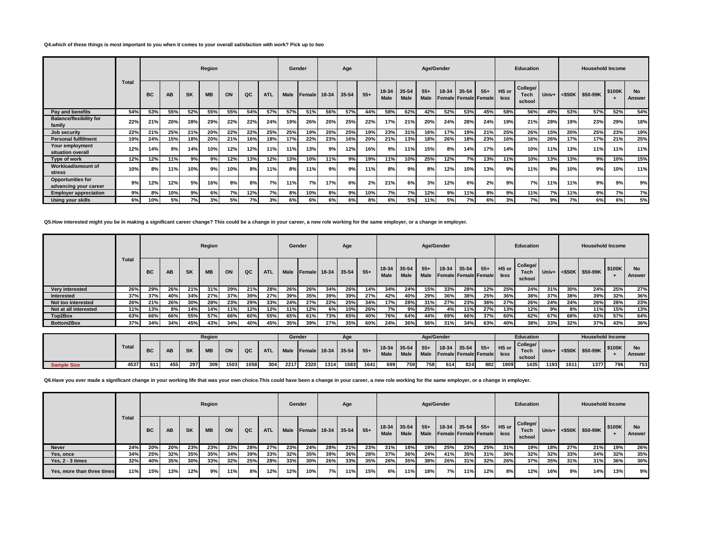#### **Q4.which of these things is most important to you when it comes to your overall satisfaction with work? Pick up to two**

|                                                   |       |           |           |           | Region    |     |     |            | Gender      |        |       | Age       |       |                      |               | Age/Gender    |         |                                   |       |               | <b>Education</b>                  |       |     | <b>Household Income</b> |        |                     |
|---------------------------------------------------|-------|-----------|-----------|-----------|-----------|-----|-----|------------|-------------|--------|-------|-----------|-------|----------------------|---------------|---------------|---------|-----------------------------------|-------|---------------|-----------------------------------|-------|-----|-------------------------|--------|---------------------|
|                                                   | Total | <b>BC</b> | <b>AB</b> | <b>SK</b> | <b>MB</b> | ON  | QC  | <b>ATL</b> | <b>Male</b> | Female | 18-34 | $35 - 54$ | $55+$ | 18-34<br><b>Male</b> | 35-54<br>Male | $55+$<br>Male | $18-34$ | $35 - 54$<br>Female Female Female | $55+$ | HS or<br>less | College/<br><b>Tech</b><br>school | Univ+ |     | <\$50K \$50-99K         | \$100K | <b>No</b><br>Answer |
| Pay and benefits                                  | 54%   | 53%       | 55%       | 52%       | 55%       | 55% | 54% | 57%        | 57%         | 51%    | 56%   | 57%       | 44%   | 58%                  | 62%           | 42%           | 52%     | 53%                               | 45%   | 58%           | 56%                               | 49%   | 53% | 57%                     | 52%    | 54%                 |
| <b>Balance/flexibility for</b><br>family          | 22%   | 21%       | 20%       | 28%       | 29%       | 22% | 22% | 24%        | 19%         | 26%    | 20%   | 25%       | 22%   | 17%                  | 21%           | 20%           | 24%     | 28%                               | 24%   | 19%           | 21%                               | 28%   | 19% | 23%                     | 29%    | 18%                 |
| Job security                                      | 22%   | 21%       | 25%       | 21%       | 20%       | 22% | 22% | 25%        | 25%         | 19%    | 20%   | 25%       | 19%   | 23%                  | 31%           | 16%           | 17%     | 19%                               | 21%   | 25%           | 26%                               | 15%   | 20% | 25%                     | 23%    | 19%                 |
| <b>Personal fulfillment</b>                       | 19%   | 24%       | 15%       | 18%       | 20%       | 21% | 16% | 18%        | 17%         | 22%    | 23%   | 16%       | 20%   | 21%                  | 13%           | 18%           | 26%     | 18%                               | 23%   | 16%           | 16%                               | 26%   | 17% | 17%                     | 21%    | 25%                 |
| Your employment<br>situation overall              | 12%   | 14%       | 9%        | 14%       | 10%       | 12% | 12% | 11%        | 11%         | 13%    | 9%    | 12%       | 16%   | 9%                   | 11%           | 15%           | 8%      | 14%                               | 17%   | 14%           | 10%                               | 11%   | 13% | 11%                     | 11%    | 11%                 |
| Type of work                                      | 12%   | 12%       | 11%       | 9%        | 9%        | 12% | 13% | 12%        | 13%         | 10%    | 11%   | 9%        | 19%   | 11%                  | 10%           | 25%           | 12%     | 7%                                | 13%   | 11%           | 10%                               | 13%   | 13% | 9%                      | 10%    | 15%                 |
| Workload/amount of<br>stress                      | 10%   | 8%        | 11%       | 10%       | 9%        | 10% | 8%  | 11%        | 8%          | 11%    | 9%    | 9%        | 11%   | 8%                   | 9%            | 8%            | 12%     | 10%                               | 13%   | 9%            | 11%                               | 9%    | 10% | 9%                      | 10%    | 11%                 |
| <b>Opportunities for</b><br>advancing your career | 9%    | 12%       | 12%       | 5%        | 16%       | 8%  | 8%  | 7%         | 11%         | 7%     | 17%   | 6%        | 2%    | 21%                  | 6%            | 3%            | 12%     | 6%                                | 2%    | 9%            | 7%                                | 11%   | 11% | 9%                      | 9%     | 9%                  |
| <b>Employer appreciation</b>                      | 9%    | 8%        | 10%       | 9%        | 6%        | 7%  | 12% | 7%         | 8%          | 10%    | 8%    | 9%        | 10%   | 7%                   | 7%            | 12%           | 9%      | 11%                               | 8%    | 9%            | 11%                               | 7%    | 11% | 9%                      | 7%     | 7%                  |
| <b>Using your skills</b>                          | 6%    | 10%       | 5%        | 7%        | 3%        | 5%  | 7%  | 3%         | 6%          | 6%     | 6%    | 6%        | 8%    | 6%                   | 5%            | 11%           | 5%      | 7%                                | 6%    | 3%            | 7%                                | 9%    | 7%  | 6%                      | 6%     | 5%                  |

**Q5.How interested might you be in making a significant career change? This could be a change in your career, a new role working for the same employer, or a change in employer.**

|                       |       |     |     |     | Region    |     |     |            | Gender      |                |     | Age         |       |                            |             |               | Age/Gender |       |                                      |                      | <b>Education</b>                  |       |     | <b>Household Income</b> |        |              |
|-----------------------|-------|-----|-----|-----|-----------|-----|-----|------------|-------------|----------------|-----|-------------|-------|----------------------------|-------------|---------------|------------|-------|--------------------------------------|----------------------|-----------------------------------|-------|-----|-------------------------|--------|--------------|
|                       | Total | BC  | AB  | SK  | <b>MB</b> | ON  | QC  | <b>ATL</b> | <b>Male</b> | <b>IFemale</b> |     | 18-34 35-54 | $55+$ | 18-34 35-54<br><b>Male</b> | <b>Male</b> | $55+$<br>Male | 18-34      | 35-54 | $55+$<br><b>Female Female Female</b> | <b>HS</b> or<br>less | College/<br><b>Tech</b><br>school | Univ+ |     | $<$ \$50K \$50-99K      | \$100K | No<br>Answer |
| Very interested       | 26%   | 29% | 26% | 21% | 31%       | 29% | 21% | 28%        | 26%         | 26%            | 34% | 26%         | 14%   | 34%                        | 24%         | 15%           | 33%        | 28%   | 12%                                  | 25%                  | 24%                               | 31%   | 30% | 24%                     | 25%    | 27%          |
| Interested            | 37%   | 37% | 40% | 34% | 27%       | 37% | 39% | 27%        | 39%         | 35%            | 39% | 39%         | 27%   | 42%                        | 40%         | 29%           | 36%        | 38%   | 25%                                  | 36%                  | 38%                               | 37%   | 38% | 39%                     | 32%    | 36%          |
| Not too interested    | 26%   | 21% | 26% | 30% | 28%       | 23% | 29% | 33%        | 24%         | 27%            | 22% | 25%         | 34%   | 17%                        | 28%         | 31%           | 27%        | 23%   | 36%                                  | 27%                  | 26%                               | 24%   | 24% | 26%                     | 28%    | 23%          |
| Not at all interested | 11%   | 13% | 8%  | 14% | 14%       | 11% | 12% | 12%        | 11%         | 12%            | 6%  | 10%         | 26%   | 7%                         | 9%          | 25%           | 4%         | 11%   | 27%                                  | 13%                  | 12%                               | 9%    | 8%  | 11%                     | 15%    | 13%          |
| Top2Box               | 63%   | 66% | 66% | 55% | 57%       | 66% | 60% | 55%        | 65%         | 61%            | 73% | 65%         | 40%   | 76%                        | 64%         | 44%           | 69%        | 66%   | 37%                                  | 60%                  | 62%                               | 67%   | 68% | 63%                     | 57%    | 64%          |
| Bottom2Box            | 37%   | 34% | 34% | 45% | 43%       | 34% | 40% | 45%        | 35%         | 39%            | 27% | 35%         | 60%   | 24%                        | 36%         | 56%           | 31%        | 34%   | 63%                                  | 40%                  | 38%                               | 33%   | 32% | 37%                     | 43%    | 36%          |

|                    |       |     |     |           | Region    |      |      |            | Gender |      |                    | Age  |       |      |                              |       | Age/Gender |             |                                         |       | Education                  |         |      | <b>Household Income</b>    |        |        |
|--------------------|-------|-----|-----|-----------|-----------|------|------|------------|--------|------|--------------------|------|-------|------|------------------------------|-------|------------|-------------|-----------------------------------------|-------|----------------------------|---------|------|----------------------------|--------|--------|
|                    | Total | ВC  | AB  | <b>SK</b> | <b>MB</b> | ON   | QC   | <b>ATL</b> | Male   |      | Eemale 18-34 35-54 |      | $55+$ | Male | $18-34$ 35-54<br><b>Male</b> | $55+$ |            | 18-34 35-54 | $55+$<br>Male Female Female Female less | HS or | College/<br>Tech<br>school | $Univ+$ |      | $ \texttt{<$50K} \$50-99K$ | \$100K | Answer |
| <b>Sample Size</b> | 4537  | 611 | 455 | 297       | 309       | 1503 | 1058 | 304        | 2217   | 2320 | 1314               | 1583 | 1641  | 699  | 7591                         | 758   | 614        | 824         | 882                                     | 1909  | 1435                       | 1193    | 1611 | 1377                       | 796    | 753    |

**Q6.Have you ever made a significant change in your working life that was your own choice.This could have been a change in your career, a new role working for the same employer, or a change in employer.**

|                            |              |     |     |           | Region    |     |     |            |     | Gender                  |     | Age |       |                            |             |                      | Age/Gender |           |                             |                     | Education                         |       |     | <b>Household Income</b> |        |                     |
|----------------------------|--------------|-----|-----|-----------|-----------|-----|-----|------------|-----|-------------------------|-----|-----|-------|----------------------------|-------------|----------------------|------------|-----------|-----------------------------|---------------------|-----------------------------------|-------|-----|-------------------------|--------|---------------------|
|                            | <b>Total</b> | BC  | AB  | <b>SK</b> | <b>MB</b> | ON  | QC  | <b>ATL</b> |     | Male Female 18-34 35-54 |     |     | $55+$ | 18-34 35-54<br><b>Male</b> | <b>Male</b> | $55+$<br><b>Male</b> | 18-34      | $35 - 54$ | <b>Female Female Female</b> | $55+$ HS or<br>less | College/<br><b>Tech</b><br>school | Univ+ |     | $\leq$ \$50K \$50-99K   | \$100K | <b>No</b><br>Answer |
| <b>Never</b>               | 24%          | 20% | 20% | 23%       | 23%       | 23% | 28% | 27%        | 23% | 24%                     | 28% | 21% | 23%   | 31%                        | 18%         | 19%                  | 25%        | 23%       | 25%                         | 31%                 | 19%                               | 18%   | 27% | 21%                     | 19%    | 26%                 |
| Yes, once                  | 34%          | 25% | 32% | 35%       | 35%       | 34% | 39% | 33%        | 32% | 35%                     | 39% | 36% | 28%   | 37%                        | 36%         | 24%                  | 41%        | 35%       | 31%                         | 36%                 | 32%                               | 32%   | 33% | 34%                     | 32%    | 35%                 |
| Yes. 2 - 3 times           | 32%          | 40% | 35% | 30%       | 33%       | 32% | 25% | 28%        | 33% | 30%                     | 26% | 33% | 35%   | 26%                        | 35%         | 38%                  | 26%        | 31%       | 32%                         | 26%                 | 37%                               | 35%   | 31% | 31%                     | 36%    | 30%                 |
| Yes, more than three times | 11%          | 15% | 13% | 12%       | 9%        | 11% | 8%  | 12%        | 12% | 10%                     | 7%  | 11% | 15%   | 6%                         | 11%         | 18%                  | 7% l       | 11%       | 12%                         | 8%                  | 12%                               | 16%   | 9%  | 14%                     | 13%    | 9%                  |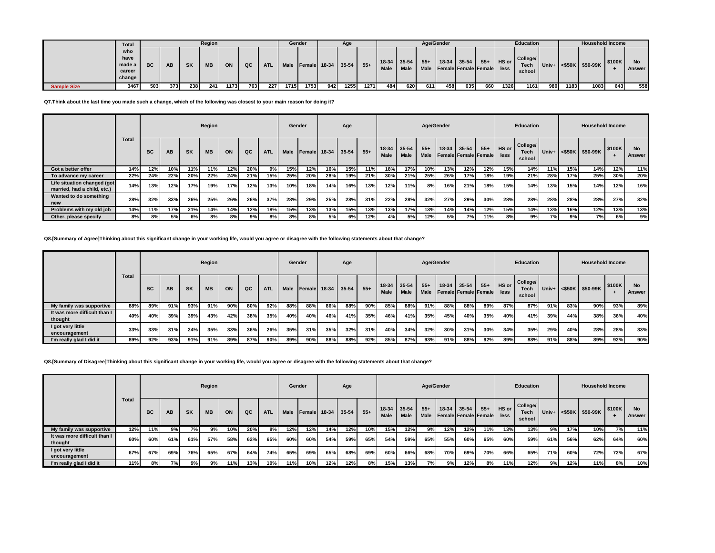|                    | <b>Total</b> |     |     |           | Region    |      |     |            |      | Gender |     | Age                    |      |             |             |       | Age/Gender |                                |       |       | <b>Education</b> |     |      | <b>Household Income</b>           |        |        |
|--------------------|--------------|-----|-----|-----------|-----------|------|-----|------------|------|--------|-----|------------------------|------|-------------|-------------|-------|------------|--------------------------------|-------|-------|------------------|-----|------|-----------------------------------|--------|--------|
|                    | who          |     |     |           |           |      |     |            |      |        |     |                        |      |             |             |       |            |                                |       |       |                  |     |      |                                   |        |        |
|                    | have         |     |     |           |           |      |     |            |      |        |     |                        |      | $18-34$     | $35-54$     | $55+$ |            | 18-34 35-54                    | $55+$ | HS or | College/         |     |      |                                   | \$100K |        |
|                    | made a       | BC. | AB  | <b>SK</b> | <b>MB</b> | ON   | QC  | <b>ATL</b> | Male |        |     | Female 18-34 35-54 55+ |      | <b>Male</b> | <b>Male</b> |       |            | Male Female Female Female less |       |       | Tech             |     |      | $ $ Univ+ $ $ <\$50K $ $ \$50-99K |        | Answer |
|                    | career       |     |     |           |           |      |     |            |      |        |     |                        |      |             |             |       |            |                                |       |       | school           |     |      |                                   |        |        |
|                    | change       |     |     |           |           |      |     |            |      |        |     |                        |      |             |             |       |            |                                |       |       |                  |     |      |                                   |        |        |
| <b>Sample Size</b> | 3467         | 503 | 373 | 238       | 241       | 1173 | 763 | 227        | 1715 | 1753   | 942 | 1255                   | 1271 | 484         | 620         | 611   | 458        | 635                            | 6601  | 1326  | 1161             | 980 | 1183 | 1083                              | 643    | 558    |

**Q7.Think about the last time you made such a change, which of the following was closest to your main reason for doing it?**

|                                                            |       |           |           |           | Region    |     |     |            | Gender |             |               | Age |       |                            |             |               | Age/Gender |           |                                            |      | <b>Education</b>                  |       |     | <b>Household Income</b>      |        |                     |
|------------------------------------------------------------|-------|-----------|-----------|-----------|-----------|-----|-----|------------|--------|-------------|---------------|-----|-------|----------------------------|-------------|---------------|------------|-----------|--------------------------------------------|------|-----------------------------------|-------|-----|------------------------------|--------|---------------------|
|                                                            | Total | <b>BC</b> | <b>AB</b> | <b>SK</b> | <b>MB</b> | ON  | QC  | <b>ATL</b> |        | Male Female | $18-34$ 35-54 |     | $55+$ | 18-34 35-54<br><b>Male</b> | <b>Male</b> | $55+$<br>Male | 18-34      | $35 - 54$ | $55+$ HS or<br><b>Female Female Female</b> | less | College/<br><b>Tech</b><br>school | Univ+ |     | $\leq$ \$50K $\leq$ \$50-99K | \$100K | <b>No</b><br>Answer |
| Got a better offer                                         | 14%   | 12%       | 10%       | 11%       | 11%       | 12% | 20% | 9%         | 15%    | 12%         | 16%           | 15% | 11%   | 18%                        | 17%         | 10%           | 13%        | 12%       | 12%                                        | 15%  | 14%                               | 11%   | 15% | 14%                          | 12%    | 11%                 |
| To advance my career                                       | 22%   | 24%       | 22%       | 20%       | 22%       | 24% | 21% | 15%        | 25%    | 20%         | 28%           | 19% | 21%   | 30%                        | 21%         | 25%           | 26%        | 17%       | 18%                                        | 19%  | 21%                               | 28%   | 17% | 25%                          | 30%    | 20%                 |
| Life situation changed (got<br>married, had a child, etc.) | 14%   | 13%       | 12%       | 17%       | 19%       | 17% | 12% | 13%        | 10%    | 18%         | 14%           | 16% | 13%   | 12%                        | 11%         | 8%            | 16%        | 21%       | 18%                                        | 15%  | 14%                               | 13%   | 15% | 14%                          | 12%    | 16%                 |
| Wanted to do something<br>new                              | 28%   | 32%       | 33%       | 26%       | 25%       | 26% | 26% | 37%        | 28%    | 29%         | 25%           | 28% | 31%   | 22%                        | 28%         | 32%           | 27%        | 29%       | 30%                                        | 28%  | 28%                               | 28%   | 28% | 28%                          | 27%    | 32%                 |
| Problems with my old job                                   | 14%   | 11%       | 17%       | 21%       | 14%       | 14% | 12% | 18%        | 15%    | 13%         | 13%           | 15% | 13%   | 13%                        | 17%         | 13%           | 14%        | 14%       | 12%                                        | 15%  | 14%                               | 13%   | 16% | 12%                          | 13%    | 13%                 |
| Other, please specify                                      | 8%    | 8%        | 5%        | 6%        | 8%        | 8%  | 9%  | 8%         | 8%     | 8%          | 5%            | 6%  | 12%   | 4%                         | 5%          | 12%           | 5%         | 7%        | 11%                                        | 8%   | 9%                                | 7%    | 9%  | 7%                           | 6%     | 9%                  |

**Q8.[Summary of Agree]Thinking about this significant change in your working life, would you agree or disagree with the following statements about that change?**

|                                         |       |           |           |           | Region    |     |     |            |             | Gender |     | Age         |       |                            |      |                      | Age/Gender                                |             |     |       | <b>Education</b>                  |       |     | <b>Household Income</b> |        |                     |
|-----------------------------------------|-------|-----------|-----------|-----------|-----------|-----|-----|------------|-------------|--------|-----|-------------|-------|----------------------------|------|----------------------|-------------------------------------------|-------------|-----|-------|-----------------------------------|-------|-----|-------------------------|--------|---------------------|
|                                         | Total | <b>BC</b> | <b>AB</b> | <b>SK</b> | <b>MB</b> | ON  | QC  | <b>ATL</b> | <b>Male</b> | Female |     | 18-34 35-54 | $55+$ | 18-34 35-54<br><b>Male</b> | Male | $55+$<br><b>Male</b> | 18-34<br><b>Female Female Female less</b> | $35-54$ 55+ |     | HS or | College/<br><b>Tech</b><br>school | Univ+ |     | <\$50K \$50-99K         | \$100K | <b>No</b><br>Answer |
| My family was supportive                | 88%   | 89%       | 91%       | 93%       | 91%       | 90% | 80% | 92%        | 88%         | 88%    | 86% | 88%         | 90%   | 85%                        | 88%  | 91%                  | 88%                                       | 88%         | 89% | 87%   | 87%                               | 91%   | 83% | 90%                     | 93%    | 89%                 |
| It was more difficult than I<br>thought | 40%   | 40%       | 39%       | 39%       | 43%       | 42% | 38% | 35%        | 40%         | 40%    | 46% | 41%         | 35%   | 46%                        | 41%  | 35%                  | 45%                                       | 40%         | 35% | 40%   | 41%                               | 39%   | 44% | 38%                     | 36%    | 40%                 |
| I got very little<br>encouragement      | 33%   | 33%       | 31%       | 24%       | 35%       | 33% | 36% | 26%        | 35%         | 31%    | 35% | 32%         | 31%   | 40%                        | 34%  | 32%                  | 30%                                       | 31%         | 30% | 34%   | 35%                               | 29%   | 40% | 28%                     | 28%    | 33%                 |
| I'm really glad I did it                | 89%   | 92%       | 93%       | 91%       | 91%       | 89% | 87% | 90%        | 89%         | 90%    | 88% | 88%         | 92%   | 85%                        | 87%  | 93%                  | 91%                                       | 88%         | 92% | 89%   | 88%                               | 91%   | 88% | 89%                     | 92%    | 90%                 |

**Q8.[Summary of Disagree]Thinking about this significant change in your working life, would you agree or disagree with the following statements about that change?**

|                                         |              |           |     |           | Region    |     |     |            | Gender      |        |     | Age         |       |                            |             |                      | Age/Gender |           |                             |                     | Education                         |       |     | <b>Household Income</b> |             |                     |
|-----------------------------------------|--------------|-----------|-----|-----------|-----------|-----|-----|------------|-------------|--------|-----|-------------|-------|----------------------------|-------------|----------------------|------------|-----------|-----------------------------|---------------------|-----------------------------------|-------|-----|-------------------------|-------------|---------------------|
|                                         | <b>Total</b> | <b>BC</b> | AB  | <b>SK</b> | <b>MB</b> | ON  | QC  | <b>ATL</b> | <b>Male</b> | Female |     | 18-34 35-54 | $55+$ | 18-34 35-54<br><b>Male</b> | <b>Male</b> | $55+$<br><b>Male</b> | $18-34$    | $35 - 54$ | <b>Female Female Female</b> | $55+$ HS or<br>less | College/<br><b>Tech</b><br>school | Univ+ |     | $\leq$ \$50K \$50-99K   | \$100K<br>- | <b>No</b><br>Answer |
| My family was supportive                | 12%          | 11%       | 9%  | 7%        | 9%        | 10% | 20% | 8%         | 12%         | 12%    | 14% | 12%         | 10%   | 15%                        | 12%         | 9%                   | 12%        | 12%       | 11%                         | 13%                 | 13%                               | 9%    | 17% | 10%                     | 7%          | 11%                 |
| It was more difficult than I<br>thought | 60%          | 60%       | 61% | 61%       | 57%       | 58% | 62% | 65%        | 60%         | 60%    | 54% | 59%         | 65%   | 54%                        | 59%         | 65%                  | 55%        | 60%       | 65%                         | 60%                 | 59%                               | 61%   | 56% | 62%                     | 64%         | 60%                 |
| I got very little<br>encouragement      | 67%          | 67%       | 69% | 76%       | 65%       | 67% | 64% | <b>74%</b> | 65%         | 69%    | 65% | 68%         | 69%   | 60%                        | 66%         | 68%                  | 70%        | 69%       | 70%                         | 66%                 | 65%                               | 71%   | 60% | 72%                     | 72%         | 67%                 |
| I'm really glad I did it                | 11%          | 8%        | 7%  | 9%        | 9%        | 11% | 13% | 10%        | 11%         | 10%    | 12% | 12%         | 8%    | 15%                        | 13%         | 7%                   | 9%         | 12%       | 8%                          | 11%                 | 12%                               | 9%    | 12% | 11%                     | 8%          | 10%                 |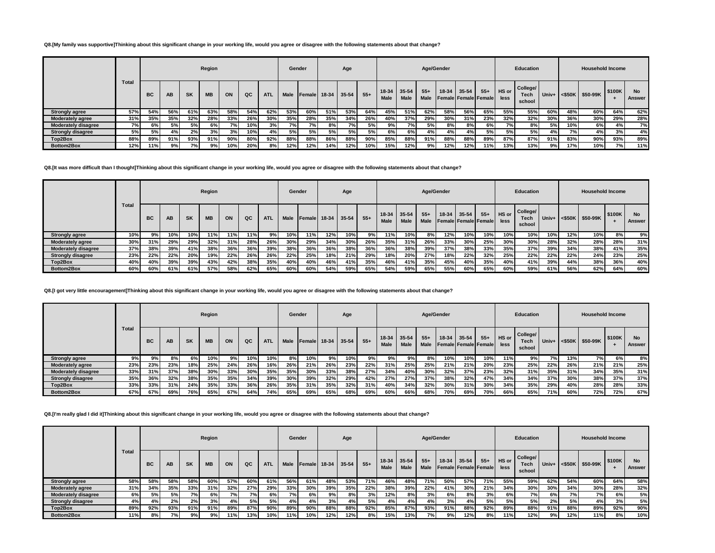#### **Q8.[My family was supportive]Thinking about this significant change in your working life, would you agree or disagree with the following statements about that change?**

|                            |       |     |           |           | Region    |     |     |            | Gender      |               |       | Age       |       |                 |                   | Age/Gender    |     |                                            |       |               | <b>Education</b>                  |       |     | <b>Household Income</b>    |        |                     |
|----------------------------|-------|-----|-----------|-----------|-----------|-----|-----|------------|-------------|---------------|-------|-----------|-------|-----------------|-------------------|---------------|-----|--------------------------------------------|-------|---------------|-----------------------------------|-------|-----|----------------------------|--------|---------------------|
|                            | Total | BC  | AB        | <b>SK</b> | <b>MB</b> | ON  | QC  | <b>ATL</b> | <b>Male</b> | <b>Female</b> | 18-34 | $35 - 54$ | $55+$ | $18-34$<br>Male | $35 - 54$<br>Male | $55+$<br>Male |     | 18-34 35-54<br><b>Female Female Female</b> | $55+$ | HS or<br>less | College/<br><b>Tech</b><br>school | Univ+ |     | $<$ \$50K $\vert$ \$50-99K | \$100K | <b>No</b><br>Answer |
| <b>Strongly agree</b>      | 57%   | 54% | 56%       | 61%       | 63%       | 58% | 54% | 62%        | 53%         | 60%           | 51%   | 53%       | 64%   | 45%             | 51%               | 62%           | 58% | 56%                                        | 65%   | 55%           | 55%                               | 60%   | 48% | 60%                        | 64%    | 62%                 |
| <b>Moderately agree</b>    | 31%   | 35% | 35%       | 32%       | 28%       | 33% | 26% | 30%        | 35%         | 28%           | 35%   | 34%       | 26%   | 40%             | 37%               | 29%           | 30% | 31%                                        | 23%   | 32%           | 32%                               | 30%   | 36% | 30%                        | 29%    | 28%                 |
| <b>Moderately disagree</b> | 7%    | 6%  | <b>5%</b> | 5%        | 6%        | 7%  | 10% | 3%         | 7%          | 7%            | 8%    | 7%        | 5%    | 9%              | 7%                | 5%            | 8%  | 8%                                         | 6%    | 7% l          | 8%                                | 5%    | 10% | 6% i                       |        | 7%                  |
| <b>Strongly disagree</b>   | 5%    | 5%  | 4%        | 2%        | 3%        | 3%  | 10% | 4%         | 5% l        | 5%            | 5%    | 5%        | 5%    | 6% l            | 6%                | 4%1           | 4%  | 4%                                         | 5%    | 5%            | 5%                                | 4% l  | 7%  | 4%                         | 3%     | 4%                  |
| Top2Box                    | 88%   | 89% | 91%       | 93%       | 91%       | 90% | 80% | 92%        | 88%         | 88%           | 86%   | 88%       | 90%   | 85%             | 88%               | 91%           | 88% | 88%                                        | 89%   | 87%           | 87%                               | 91%   | 83% | 90%                        | 93%    | 89%                 |
| Bottom2Box                 | 12%   | 11% | 9%        | 7% I      | 9%        | 10% | 20% | 8%         | 12%         | 12%           | 14%   | 12%       | 10%   | 15%             | 12%               | 9%            | 12% | 12%                                        | 11%   | 13%           | 13%                               | 9%    | 17% | 10%                        | 7%     | 11%                 |

#### **Q8.[It was more difficult than I thought]Thinking about this significant change in your working life, would you agree or disagree with the following statements about that change?**

|                            |              |           |           |     | Region    |     |     |            | Gender |                |               | Age |       |                            |             |                      | Age/Gender |       |                                      |               | Education                  |       |                   | <b>Household Income</b> |        |                     |
|----------------------------|--------------|-----------|-----------|-----|-----------|-----|-----|------------|--------|----------------|---------------|-----|-------|----------------------------|-------------|----------------------|------------|-------|--------------------------------------|---------------|----------------------------|-------|-------------------|-------------------------|--------|---------------------|
|                            | <b>Total</b> | <b>BC</b> | <b>AB</b> | SK  | <b>MB</b> | ON  | QC  | <b>ATL</b> | Male   | <b>IFemale</b> | $18-34$ 35-54 |     | $55+$ | 18-34 35-54<br><b>Male</b> | <b>Male</b> | $55+$<br><b>Male</b> | 18-34      | 35-54 | $55+$<br><b>Female Female Female</b> | HS or<br>less | College/<br>Tech<br>school | Univ+ | $<$ \$50K $\vert$ | \$50-99K                | \$100K | <b>No</b><br>Answer |
| <b>Strongly agree</b>      | 10%          | 9%        | 10%       | 10% | 11%       | 11% | 11% | 9%         | 10%    | 11%            | 12%           | 10% | 9%    | 11%                        | 10%         | 8%                   | 12%        | 10%   | 10%                                  | 10%           | <b>10%</b>                 | 10%   | 12%               | 10%                     | 8%     | 9%                  |
| <b>Moderately agree</b>    | 30%          | 31%       | 29%       | 29% | 32%       | 31% | 28% | 26%        | 30%    | 29%            | 34%           | 30% | 26%   | 35%                        | 31%         | 26%                  | 33%        | 30%   | 25%                                  | 30%           | 30%                        | 28%   | 32%               | 28%                     | 28%    | 31%                 |
| <b>Moderately disagree</b> | 37%          | 38%       | 39%       | 41% | 38%       | 36% | 36% | 39%        | 38%    | 36%            | 36%           | 38% | 36%   | 36%                        | 38%         | 39%                  | 37%        | 38%   | 33%                                  | 35%           | 37%                        | 39%   | 34%               | 38%                     | 41%    | 35%                 |
| <b>Strongly disagree</b>   | 23%          | 22%       | 22%       | 20% | 19%       | 22% | 26% | 26%        | 22%    | 25%            | 18%           | 21% | 29%   | 18%                        | 20%         | 27%                  | 18%        | 22%   | 32%                                  | 25%           | 22%                        | 22%   | 22%               | 24%                     | 23%    | 25%                 |
| Top2Box                    | 40%          | 40%       | 39%       | 39% | 43%       | 42% | 38% | 35%        | 40%    | 40%            | 46%           | 41% | 35%   | 46%                        | 41%         | 35%                  | 45%        | 40%   | 35%                                  | 40%           | 41%                        | 39%   | 44%               | 38%                     | 36%    | 40%                 |
| Bottom2Box                 | 60%          | 60%       | 61%       | 61% | 57%       | 58% | 62% | 65%        | 60%    | 60%            | 54%           | 59% | 65%   | 54%                        | 59%         | 65%                  | 55%        | 60%   | 65%                                  | 60%           | 59%                        | 61%   | 56%               | 62%                     | 64%    | 60%                 |

#### **Q8.[I got very little encouragement]Thinking about this significant change in your working life, would you agree or disagree with the following statements about that change?**

 $\mathbb{R}^2$ 

|                            |       |           |     |           | Region    |     |     |            |      | Gender       |     | Age       |       |                 |                      |                | Age/Gender |           |                               |               | <b>Education</b>           |       |           | <b>Household Income</b> |        |                     |
|----------------------------|-------|-----------|-----|-----------|-----------|-----|-----|------------|------|--------------|-----|-----------|-------|-----------------|----------------------|----------------|------------|-----------|-------------------------------|---------------|----------------------------|-------|-----------|-------------------------|--------|---------------------|
|                            | Total | <b>BC</b> | AB  | <b>SK</b> | <b>MB</b> | ON  | QC  | <b>ATL</b> | Male | Female 18-34 |     | $35 - 54$ | $55+$ | $18-34$<br>Male | 35-54<br><b>Male</b> | $55 +$<br>Male | $18-34$    | $35 - 54$ | $55+$<br>Female Female Female | HS or<br>less | College/<br>Tech<br>school | Univ+ | $<$ \$50K | \$50-99K                | \$100K | <b>No</b><br>Answer |
| <b>Strongly agree</b>      | 9%    | 9%        | 8%  | 6%        | 10%       | 9%  | 10% | 10%        | 8%   | 10%          | 9%  | 10%       | 9%    | 9%              | 9%                   | 8%             | 10%        | 10%       | 10%                           | 11%           | 9%                         | 7%    | 13%       | 7% l                    | 6%     | 8%                  |
| <b>Moderately agree</b>    | 23%   | 23%       | 23% | 18%       | 25%       | 24% | 26% | 16%        | 26%  | 21%          | 26% | 23%       | 22%   | 31%             | 25%                  | 25%            | 21%        | 21%       | 20%                           | 23%           | 25%                        | 22%   | 26%       | 21%                     | 21%    | 25%                 |
| <b>Moderately disagree</b> | 33%   | 31%       | 37% | 38%       | 30%       | 33% | 30% | 35%        | 35%  | 30%          | 33% | 38%       | 27%   | 34%             | 40%                  | 30%            | 32%        | 37%       | 23%                           | 32%           | 31%                        | 35%   | 31%       | 34%                     | 35%    | 31%                 |
| <b>Strongly disagree</b>   | 35%   | 36%       | 32% | 38%       | 35%       | 35% | 34% | 39%        | 30%  | 39%          | 32% | 29%       | 42%   | 27%             | 27%                  | 37%            | 38%        | 32%       | 47%                           | 34%           | 34%                        | 37%   | 30%       | 38%                     | 37%    | 37%                 |
| Top2Box                    | 33%   | 33%       | 31% | 24%       | 35%       | 33% | 36% | 26%        | 35%  | 31%          | 35% | 32%       | 31%   | 40%             | 34%                  | 32%            | 30%        | 31%       | 30%                           | 34%           | 35%                        | 29%   | 40%       | 28%                     | 28%    | 33%                 |
| Bottom2Box                 | 67%   | 67%       | 69% | 76%       | 65%       | 67% | 64% | 74%        | 65%  | 69%          | 65% | 68%       | 69%   | 60%             | 66%                  | 68%            | 70%        | 69%       | 70%                           | 66%           | 65%                        | 71%   | 60%       | 72%                     | 72%    | 67%                 |

### **Q8.[I'm really glad I did it]Thinking about this significant change in your working life, would you agree or disagree with the following statements about that change?**

|                            |              |     |           |           | Region    |     |     |            | Gender |                |             | Age |       |                            |             |               | Age/Gender |       |                                      |               | <b>Education</b>           |       |           | <b>Household Income</b> |        |                     |
|----------------------------|--------------|-----|-----------|-----------|-----------|-----|-----|------------|--------|----------------|-------------|-----|-------|----------------------------|-------------|---------------|------------|-------|--------------------------------------|---------------|----------------------------|-------|-----------|-------------------------|--------|---------------------|
|                            | <b>Total</b> | BC  | <b>AB</b> | <b>SK</b> | <b>MB</b> | ON  | QC  | <b>ATL</b> | Male   | <b>IFemale</b> | 18-34 35-54 |     | $55+$ | 18-34 35-54<br><b>Male</b> | <b>Male</b> | $55+$<br>Male | 18-34      | 35-54 | $55+$<br><b>Female Female Female</b> | HS or<br>less | College/<br>Tech<br>school | Univ+ | $<$ \$50K | \$50-99K                | \$100K | <b>No</b><br>Answer |
| <b>Strongly agree</b>      | 58%          | 58% | 58%       | 58%       | 60%       | 57% | 60% | 61%        | 56%    | 61%            | 48%         | 53% | 71%   | 46%                        | 48%         | 71%           | 50%        | 57%   | 71%                                  | 55%           | 59%                        | 62%   | 54%       | 60%                     | 64%    | 58%                 |
| <b>Moderately agree</b>    | 31%          | 34% | 35%       | 33%       | 31%       | 32% | 27% | 29%        | 33%    | 30%            | 39%         | 35% | 22%   | 38%                        | 39%         | 22%           | 41%        | 30%   | 21%                                  | 34%           | 30%                        | 30%   | 34%       | 30%                     | 28%    | 32%                 |
| <b>Moderately disagree</b> | 6%           | 5%  | 5%        | 7%        | 6%        | 7%  | 7%  | 6%         | 7%     | 6%             | 9%          | 8%  | 3%    | 12%                        | 8%          | 3%            | 6%         | 8%    | 3%                                   | 6%            | 7%                         | 6%    | 7%        | 7% i                    | 6%     | 5%                  |
| <b>Strongly disagree</b>   | 4%           | 4%  | 2%        | 2%        | 3%        | 4%  | 5%  | 5%         | 4%     | 4%             | 3%          | 4%  | 5%    | 4%                         | 4%          | 4%            | 3%         | 4%    | 5%                                   | 5%            | 5%                         | 2%    | 5%        | 4%                      | 3%     | 5%                  |
| Top2Box                    | 89%          | 92% | 93%       | 91%       | 91%       | 89% | 87% | 90%        | 89%    | 90%            | 88%         | 88% | 92%   | 85%                        | 87%         | 93%           | 91%        | 88%   | 92%                                  | 89%           | 88%                        | 91%   | 88%       | 89%                     | 92%    | 90%                 |
| Bottom2Box                 | 11%          | 8%  | 7%        | 9%        | 9%        | 11% | 13% | 10%        | 11%    | 10%            | 12%         | 12% | 8%    | 15%                        | 13%         | 7%            | 9%         | 12%   | 8%                                   | 11%           | 12%                        | 9%    | 12%       | 11%                     | 8%     | 10%                 |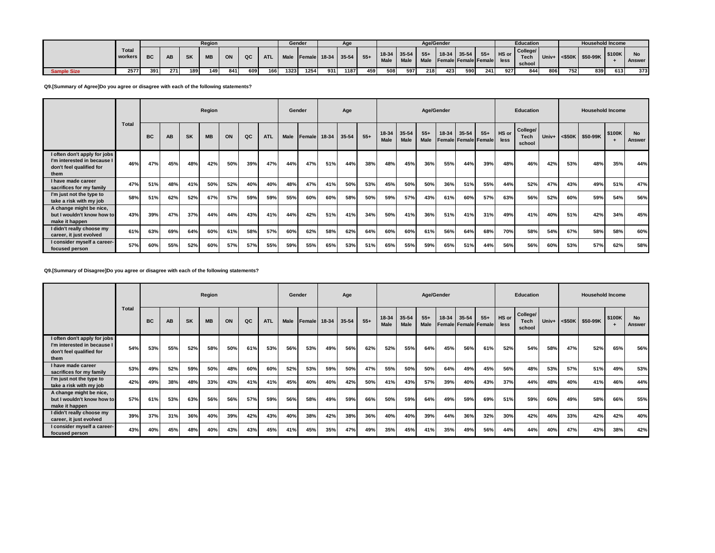|                    |                  |           |           |           | Region    |     |     |            | Gender |                         |     |      |       |                              |      |       | Age/Gender |                                                 |       |       | Education                   |     |     | <b>Household Income</b>           |        |        |
|--------------------|------------------|-----------|-----------|-----------|-----------|-----|-----|------------|--------|-------------------------|-----|------|-------|------------------------------|------|-------|------------|-------------------------------------------------|-------|-------|-----------------------------|-----|-----|-----------------------------------|--------|--------|
|                    | Total<br>workers | <b>BC</b> | <b>AB</b> | <b>SK</b> | <b>MB</b> | ON  | QC  | <b>ATL</b> |        | Male Female 18-34 35-54 |     |      | $55+$ | $18-34$ 35-54<br><b>Male</b> | Male | $55+$ |            | $18-34$ 35-54<br>Male Female Female Female less | $55+$ | HS or | College/<br>Tech.<br>school |     |     | $ $ Univ+ $ $ <\$50K $ $ \$50-99K | \$100K | Answer |
| <b>Sample Size</b> | 2577             | 391       | 271       | 189       | 149       | 841 | 609 | 166        | 1323   | 1254                    | 931 | 1187 | 459   | 508                          | 597  | 218   | 423        | 590                                             | 241   | 927   | 844                         | 806 | 752 | 839                               | 613    | 373    |

### **Q9.[Summary of Agree]Do you agree or disagree with each of the following statements?**

|                                                                                                 |              |           |     |           | Region    |     |     |            | Gender |                         |     | Age |       |                      |                      |               | Age/Gender |       |                                      |               | Education                         |     |     | <b>Household Income</b> |                     |                     |
|-------------------------------------------------------------------------------------------------|--------------|-----------|-----|-----------|-----------|-----|-----|------------|--------|-------------------------|-----|-----|-------|----------------------|----------------------|---------------|------------|-------|--------------------------------------|---------------|-----------------------------------|-----|-----|-------------------------|---------------------|---------------------|
|                                                                                                 | <b>Total</b> | <b>BC</b> | AB  | <b>SK</b> | <b>MB</b> | ON  | QC  | <b>ATL</b> |        | Male Female 18-34 35-54 |     |     | $55+$ | 18-34<br><b>Male</b> | 35-54<br><b>Male</b> | $55+$<br>Male | 18-34      | 35-54 | $55+$<br><b>Female Female Female</b> | HS or<br>less | College/<br><b>Tech</b><br>school |     |     | Univ+ <\$50K \$50-99K   | \$100K<br>$\ddot{}$ | <b>No</b><br>Answer |
| I often don't apply for jobs<br>I'm interested in because I<br>don't feel qualified for<br>them | 46%          | 47%       | 45% | 48%       | 42%       | 50% | 39% | 47%        | 44%    | 47%                     | 51% | 44% | 38%   | 48%                  | 45%                  | 36%           | 55%        | 44%   | 39%                                  | 48%           | 46%                               | 42% | 53% | 48%                     | 35%                 | 44%                 |
| I have made career<br>sacrifices for my family                                                  | 47%          | 51%       | 48% | 41%       | 50%       | 52% | 40% | 40%        | 48%    | 47%                     | 41% | 50% | 53%   | 45%                  | 50%                  | 50%           | 36%        | 51%   | 55%                                  | 44%           | 52%                               | 47% | 43% | 49%                     | 51%                 | 47%                 |
| I'm just not the type to<br>take a risk with my job                                             | 58%          | 51%       | 62% | 52%       | 67%       | 57% | 59% | 59%        | 55%    | 60%                     | 60% | 58% | 50%   | 59%                  | 57%                  | 43%           | 61%        | 60%   | 57%                                  | 63%           | 56%                               | 52% | 60% | 59%                     | 54%                 | 56%                 |
| A change might be nice,<br>but I wouldn't know how to<br>make it happen                         | 43%          | 39%       | 47% | 37%       | 44%       | 44% | 43% | 41%        | 44%    | 42%                     | 51% | 41% | 34%   | 50%                  | 41%                  | 36%           | 51%        | 41%   | 31%                                  | 49%           | 41%                               | 40% | 51% | 42%                     | 34%                 | 45%                 |
| I didn't really choose my<br>career, it just evolved                                            | 61%          | 63%       | 69% | 64%       | 60%       | 61% | 58% | 57%        | 60%    | 62%                     | 58% | 62% | 64%   | 60%                  | 60%                  | 61%           | 56%        | 64%   | 68%                                  | 70%           | 58%                               | 54% | 67% | 58%                     | 58%                 | 60%                 |
| I consider myself a career-<br>focused person                                                   | 57%          | 60%       | 55% | 52%       | 60%       | 57% | 57% | 55%        | 59%    | 55%                     | 65% | 53% | 51%   | 65%                  | 55%                  | 59%           | 65%        | 51%   | 44%                                  | 56%           | 56%                               | 60% | 53% | 57%                     | 62%                 | 58%                 |

#### **Q9.[Summary of Disagree]Do you agree or disagree with each of the following statements?**

|                                                                                                 |              |           |     |           | Region    |     |     |            |             | Gender       |     | Age   |       |                      |                      | Age/Gender    |           |       |                                      |               | <b>Education</b>                  |       |     | <b>Household Income</b> |        |                     |
|-------------------------------------------------------------------------------------------------|--------------|-----------|-----|-----------|-----------|-----|-----|------------|-------------|--------------|-----|-------|-------|----------------------|----------------------|---------------|-----------|-------|--------------------------------------|---------------|-----------------------------------|-------|-----|-------------------------|--------|---------------------|
|                                                                                                 | <b>Total</b> | <b>BC</b> | AB  | <b>SK</b> | <b>MB</b> | ON  | QC  | <b>ATL</b> | <b>Male</b> | Female 18-34 |     | 35-54 | $55+$ | 18-34<br><b>Male</b> | 35-54<br><b>Male</b> | $55+$<br>Male | $18 - 34$ | 35-54 | $55+$<br><b>Female Female Female</b> | HS or<br>less | College/<br><b>Tech</b><br>school | Univ+ |     | <\$50K \$50-99K         | \$100K | <b>No</b><br>Answer |
| I often don't apply for jobs<br>I'm interested in because I<br>don't feel qualified for<br>them | 54%          | 53%       | 55% | 52%       | 58%       | 50% | 61% | 53%        | 56%         | 53%          | 49% | 56%   | 62%   | 52%                  | 55%                  | 64%           | 45%       | 56%   | 61%                                  | 52%           | 54%                               | 58%   | 47% | 52%                     | 65%    | 56%                 |
| I have made career<br>sacrifices for my family                                                  | 53%          | 49%       | 52% | 59%       | 50%       | 48% | 60% | 60%        | 52%         | 53%          | 59% | 50%   | 47%   | 55%                  | 50%                  | 50%           | 64%       | 49%   | 45%                                  | 56%           | 48%                               | 53%   | 57% | 51%                     | 49%    | 53%                 |
| I'm just not the type to<br>take a risk with my job                                             | 42%          | 49%       | 38% | 48%       | 33%       | 43% | 41% | 41%        | 45%         | 40%          | 40% | 42%   | 50%   | 41%                  | 43%                  | 57%           | 39%       | 40%   | 43%                                  | 37%           | 44%                               | 48%   | 40% | 41%                     | 46%    | 44%                 |
| A change might be nice,<br>but I wouldn't know how to<br>make it happen                         | 57%          | 61%       | 53% | 63%       | 56%       | 56% | 57% | 59%        | 56%         | 58%          | 49% | 59%   | 66%   | 50%                  | 59%                  | 64%           | 49%       | 59%   | 69%                                  | 51%           | 59%                               | 60%   | 49% | 58%                     | 66%    | 55%                 |
| I didn't really choose my<br>career, it just evolved                                            | 39%          | 37%       | 31% | 36%       | 40%       | 39% | 42% | 43%        | 40%         | 38%          | 42% | 38%   | 36%   | 40%                  | 40%                  | 39%           | 44%       | 36%   | 32%                                  | 30%           | 42%                               | 46%   | 33% | 42%                     | 42%    | 40%                 |
| I consider myself a career-<br>focused person                                                   | 43%          | 40%       | 45% | 48%       | 40%       | 43% | 43% | 45%        | 41%         | 45%          | 35% | 47%   | 49%   | 35%                  | 45%                  | 41%           | 35%       | 49%   | 56%                                  | 44%           | 44%                               | 40%   | 47% | 43%                     | 38%    | 42%                 |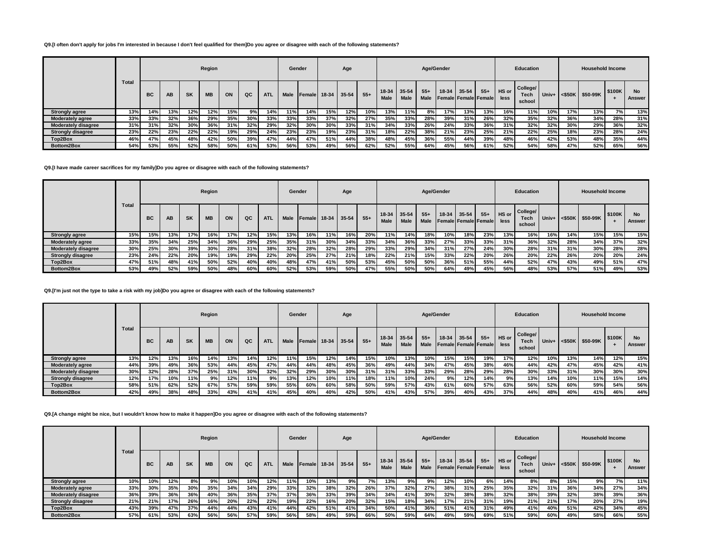### **Q9.[I often don't apply for jobs I'm interested in because I don't feel qualified for them]Do you agree or disagree with each of the following statements?**

|                            |       |           |           |           | Region    |     |     |            |             | Gender |       | Age   |       |               |                          |                      | Age/Gender |       |                                      |               | Education                         |       |           | <b>Household Income</b> |        |                     |
|----------------------------|-------|-----------|-----------|-----------|-----------|-----|-----|------------|-------------|--------|-------|-------|-------|---------------|--------------------------|----------------------|------------|-------|--------------------------------------|---------------|-----------------------------------|-------|-----------|-------------------------|--------|---------------------|
|                            | Total | <b>BC</b> | <b>AB</b> | <b>SK</b> | <b>MB</b> | ON  | QC  | <b>ATL</b> | <b>Male</b> | Female | 18-34 | 35-54 | $55+$ | 18-34<br>Male | $35 - 54$<br><b>Male</b> | $55+$<br><b>Male</b> | $18-34$    | 35-54 | $55+$<br><b>Female Female Female</b> | HS or<br>less | College/<br><b>Tech</b><br>school | Univ+ | $<$ \$50K | \$50-99K                | \$100K | <b>No</b><br>Answer |
| <b>Strongly agree</b>      | 13%   | 14%       | 13%       | 12%       | 12%       | 15% | 9%  | 14%        | 11%         | 14%    | 15%   | 12%   | 10%   | 13%           | 11%                      | 8%                   | 17%        | 13%   | 13%                                  | 16%           | 11%                               | 10%   | 17%       | 13%                     | 7%     | 13%                 |
| <b>Moderately agree</b>    | 33%   | 33%       | 32%       | 36%       | 29%       | 35% | 30% | 33%        | 33%         | 33%    | 37%   | 32%   | 27%   | 35%           | 33%                      | 28%                  | 39%        | 31%   | 26%                                  | 32%           | 35%                               | 32%   | 36%       | 34%                     | 28%    | 31%                 |
| <b>Moderately disagree</b> | 31%   | 31%       | 32%       | 30%       | 36%       | 31% | 32% | 29%        | 32%         | 30%    | 30%   | 33%   | 31%   | 34%           | 33%                      | 26%                  | 24%        | 33%   | 36%                                  | 31%           | 32%                               | 32%   | 30%       | 29%                     | 36%    | 32%                 |
| <b>Strongly disagree</b>   | 23%   | 22%       | 23%       | 22%       | 22%       | 19% | 29% | 24%        | 23%         | 23%    | 19%   | 23%   | 31%   | 18%           | 22%                      | 38%                  | 21%        | 23%   | 25%                                  | 21%           | 22%                               | 25%   | 18%       | 23%                     | 28%    | 24%                 |
| Top2Box                    | 46%   | 47%       | 45%       | 48%       | 42%       | 50% | 39% | 47%        | 44%         | 47%    | 51%   | 44%   | 38%   | 48%           | 45%                      | 36%                  | 55%        | 44%   | 39%                                  | 48%           | 46%                               | 42%   | 53%       | 48%                     | 35%    | 44%                 |
| Bottom2Box                 | 54%   | 53%       | 55%       | 52%       | 58%       | 50% | 61% | 53%        | 56%         | 53%    | 49%   | 56%   | 62%   | 52%           | 55%                      | 64%                  | 45%        | 56%   | 61%                                  | 52%           | 54%                               | 58%   | 47%       | 52%                     | 65%    | 56%                 |

#### **Q9.[I have made career sacrifices for my family]Do you agree or disagree with each of the following statements?**

|                            |       |     |     |     | Region    |     |     |            |             | Gender |       | Age       |       |               |                          |                      | Age/Gender |                                          |       |               | <b>Education</b>                  |            |     | <b>Household Income</b> |        |                     |
|----------------------------|-------|-----|-----|-----|-----------|-----|-----|------------|-------------|--------|-------|-----------|-------|---------------|--------------------------|----------------------|------------|------------------------------------------|-------|---------------|-----------------------------------|------------|-----|-------------------------|--------|---------------------|
|                            | Total | BC  | AB  | SK  | <b>MB</b> | ON  | QC  | <b>ATL</b> | <b>Male</b> | Female | 18-34 | $35 - 54$ | $55+$ | 18-34<br>Male | $35 - 54$<br><b>Male</b> | $55+$<br><b>Male</b> | 18-34      | $35 - 54$<br><b>Female Female Female</b> | $55+$ | HS or<br>less | College/<br><b>Tech</b><br>school | Univ+      |     | <\$50K \$50-99K         | \$100K | <b>No</b><br>Answer |
| <b>Strongly agree</b>      | 15%   | 15% | 13% | 17% | 16%       | 17% | 12% | 15%        | 13%         | 16%    | 11%   | 16%       | 20%   | 11%           | 14%                      | 18%                  | 10%        | 18%                                      | 23%   | 13%           | 16%                               | <b>16%</b> | 14% | 15%                     | 15%    | 15%                 |
| <b>Moderately agree</b>    | 33%   | 35% | 34% | 25% | 34%       | 36% | 29% | 25%        | 35%         | 31%    | 30%   | 34%       | 33%   | 34%           | 36%                      | 33%                  | 27%        | 33%                                      | 33%   | 31%           | 36%                               | 32%        | 28% | 34%                     | 37%    | 32%                 |
| <b>Moderately disagree</b> | 30%   | 25% | 30% | 39% | 30%       | 28% | 31% | 38%        | 32%         | 28%    | 32%   | 28%       | 29%   | 33%           | 29%                      | 34%                  | 31%        | 27%                                      | 24%   | 30%           | 28%                               | 31%        | 31% | 30%                     | 28%    | 28%                 |
| <b>Strongly disagree</b>   | 23%   | 24% | 22% | 20% | 19%       | 19% | 29% | 22%        | 20%         | 25%    | 27%   | 21%       | 18%   | 22%           | 21%                      | 15%                  | 33%        | 22%                                      | 20%   | 26%           | 20%                               | 22%        | 26% | 20%                     | 20%    | 24%                 |
| Top2Box                    | 47%   | 51% | 48% | 41% | 50%       | 52% | 40% | 40%        | 48%         | 47%    | 41%   | 50%       | 53%   | 45%           | 50%                      | 50%                  | 36%        | 51%                                      | 55%   | 44%           | 52%                               | 47%        | 43% | 49%                     | 51%    | 47%                 |
| Bottom2Box                 | 53%   | 49% | 52% | 59% | 50%       | 48% | 60% | 60%        | 52%         | 53%    | 59%   | 50%       | 47%   | 55%           | 50%                      | 50%                  | 64%        | 49%                                      | 45%   | 56%           | 48%                               | 53%        | 57% | 51%                     | 49%    | 53%                 |

### **Q9.[I'm just not the type to take a risk with my job]Do you agree or disagree with each of the following statements?**

 $\mathbb{R}^2$ 

|                            |              |           |     |     | Region    |     |     |            | Gender      |                |             | Age |            |                            |             |                      | Age/Gender |           |                                      |                 | <b>Education</b>           |       |           | <b>Household Income</b> |        |                     |
|----------------------------|--------------|-----------|-----|-----|-----------|-----|-----|------------|-------------|----------------|-------------|-----|------------|----------------------------|-------------|----------------------|------------|-----------|--------------------------------------|-----------------|----------------------------|-------|-----------|-------------------------|--------|---------------------|
|                            | <b>Total</b> | <b>BC</b> | AB  | SK  | <b>MB</b> | ON  | QC  | <b>ATL</b> | <b>Male</b> | <b>IFemale</b> | 18-34 35-54 |     | $55+$      | 18-34 35-54<br><b>Male</b> | <b>Male</b> | $55+$<br><b>Male</b> | $18-34$    | $35 - 54$ | $55+$<br><b>Female Female Female</b> | I HS or<br>less | College/<br>Tech<br>school | Univ+ | $<$ \$50K | \$50-99K                | \$100K | <b>No</b><br>Answer |
| <b>Strongly agree</b>      | 13%          | 12%       | 13% | 16% | 14%       | 13% | 14% | 12%        | 11%         | 15%            | 12%         | 14% | 15%        | 10%                        | 13%         | 10%                  | 15%        | 15%       | 19%                                  | 17%             | 12%                        | 10%   | 13%       | 14%                     | 12%    | 15%                 |
| <b>Moderately agree</b>    | 44%          | 39%       | 49% | 36% | 53%       | 44% | 45% | 47%        | 44%         | 44%            | 48%         | 45% | 36%        | 49%                        | 44%         | 34%                  | 47%        | 45%       | 38%                                  | 46%             | 44%                        | 42%   | 47%       | 45%                     | 42%    | 41%                 |
| <b>Moderately disagree</b> | 30%          | 32%       | 28% | 37% | 25%       | 31% | 30% | 32%        | 32%         | 29%            | 30%         | 30% | 31%        | 31%                        | 33%         | 33%                  | 29%        | 28%       | 29%                                  | 28%             | 30%                        | 33%   | 31%       | 30%                     | 30%    | 30%                 |
| <b>Strongly disagree</b>   | 12%          | 17%       | 10% | 11% | 9%        | 12% | 11% | 9%         | 13%         | 12%            | 10%         | 11% | <b>18%</b> | 11%                        | 10%         | 24%                  | 9%         | 12%       | 14%                                  | 9%              | 13%                        | 14%   | 10%       | 11%                     | 15%    | 14%                 |
| Top2Box                    | 58%          | 51%       | 62% | 52% | 67%       | 57% | 59% | 59%        | 55%         | 60%            | 60%         | 58% | 50%        | 59%                        | 57%         | 43%                  | 61%        | 60%       | 57%                                  | 63%             | 56%                        | 52%   | 60%       | 59%                     | 54%    | 56%                 |
| Bottom2Box                 | 42%          | 49%       | 38% | 48% | 33%       | 43% | 41% | 41%        | 45%         | 40%            | 40%         | 42% | 50%        | 41%                        | 43%         | 57%                  | 39%        | 40%       | 43%                                  | 37%             | 44%                        | 48%   | 40%       | 41%                     | 46%    | 44%                 |

### **Q9.[A change might be nice, but I wouldn't know how to make it happen]Do you agree or disagree with each of the following statements?**

|                            |       |           |           |           | Region    |     |     |            | Gender      |               |       | Age       |       |                        |                          | Age/Gender    |       |                                          |       |               | <b>Education</b>           |       |     | <b>Household Income</b> |        |                     |
|----------------------------|-------|-----------|-----------|-----------|-----------|-----|-----|------------|-------------|---------------|-------|-----------|-------|------------------------|--------------------------|---------------|-------|------------------------------------------|-------|---------------|----------------------------|-------|-----|-------------------------|--------|---------------------|
|                            | Total | <b>BC</b> | <b>AB</b> | <b>SK</b> | <b>MB</b> | ON  | QC  | <b>ATL</b> | <b>Male</b> | <b>Female</b> | 18-34 | $35 - 54$ | $55+$ | $18-34$<br><b>Male</b> | $35 - 54$<br><b>Male</b> | $55+$<br>Male | 18-34 | $35 - 54$<br><b>Female Female Female</b> | $55+$ | HS or<br>less | College/<br>Tech<br>school | Univ+ |     | <\$50K \$50-99K         | \$100K | <b>No</b><br>Answer |
| <b>Strongly agree</b>      | 10%   | 10%       | 12%       | 8%        | 9%        | 10% | 10% | 12%        | 11%         | 10%           | 13%   | 9%        | 7%    | 13%                    | 9%                       | 9%            | 12%   | 10%                                      | 6% l  | 14%           | 8%                         | 8%    | 15% | 9%                      | 7%     | 11%                 |
| <b>Moderately agree</b>    | 33%   | 30%       | 35%       | 30%       | 35%       | 34% | 34% | 29%        | 33%         | 32%           | 38%   | 32%       | 26%   | 37%                    | 32%                      | 27%           | 38%   | 31%                                      | 25%   | 35%           | 32%                        | 31%   | 36% | 34%                     | 27%    | 34%                 |
| <b>Moderately disagree</b> | 36%   | 39%       | 36%       | 36%       | 40%       | 36% | 35% | 37%        | 37%         | 36%           | 33%   | 39%       | 34%   | 34%                    | 41%                      | 30%           | 32%   | 38%                                      | 38%   | 32%           | 38%                        | 39%   | 32% | 38%                     | 39%    | 36%                 |
| <b>Strongly disagree</b>   | 21%   | 21%       | 17%       | 26%       | 16%       | 20% | 22% | 22%        | 19%         | 22%           | 16%   | 20%       | 32%   | 15%                    | 18%                      | 34%           | 17%   | 21%                                      | 31%   | 19%           | 21%                        | 21%   | 17% | 20%                     | 27%    | 19%                 |
| Top2Box                    | 43%   | 39%       | 47%       | 37%       | 44%       | 44% | 43% | 41%        | 44%         | 42%           | 51%   | 41%       | 34%   | 50%                    | 41%                      | 36%           | 51%   | 41%                                      | 31%   | 49%           | 41%                        | 40%   | 51% | 42%                     | 34%    | 45%                 |
| Bottom2Box                 | 57%   | 61%       | 53%       | 63%       | 56%       | 56% | 57% | 59%        | 56%         | 58%           | 49%   | 59%       | 66%   | 50% l                  | 59%                      | 64%           | 49%   | 59%                                      | 69%   | 51%           | 59%                        | 60%   | 49% | 58%                     | 66%    | 55%                 |